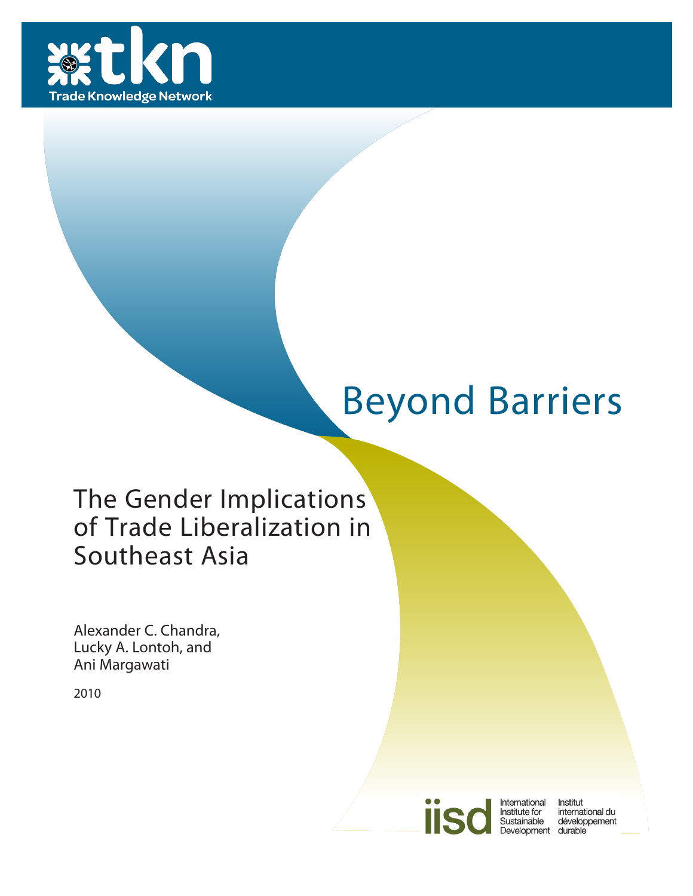

# Beyond Barriers

# The Gender Implications of Trade Liberalization in Southeast Asia

Alexander C. Chandra, Lucky A. Lontoh, and Ani Margawati

2010



International<br>Institute for Institut Sustainable Development durable

international du développement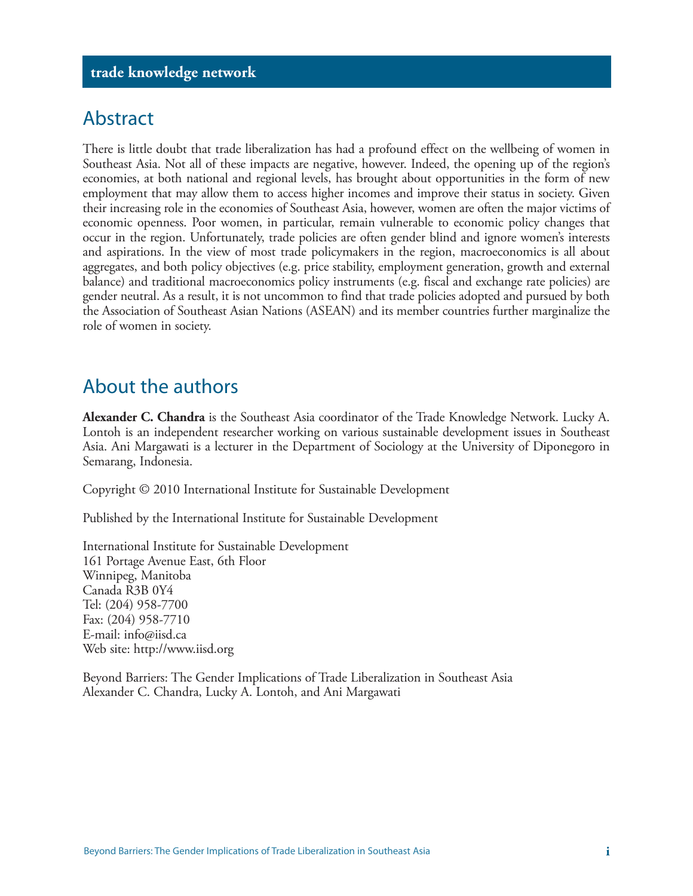### Abstract

There is little doubt that trade liberalization has had a profound effect on the wellbeing of women in Southeast Asia. Not all of these impacts are negative, however. Indeed, the opening up of the region's economies, at both national and regional levels, has brought about opportunities in the form of new employment that may allow them to access higher incomes and improve their status in society. Given their increasing role in the economies of Southeast Asia, however, women are often the major victims of economic openness. Poor women, in particular, remain vulnerable to economic policy changes that occur in the region. Unfortunately, trade policies are often gender blind and ignore women's interests and aspirations. In the view of most trade policymakers in the region, macroeconomics is all about aggregates, and both policy objectives (e.g. price stability, employment generation, growth and external balance) and traditional macroeconomics policy instruments (e.g. fiscal and exchange rate policies) are gender neutral. As a result, it is not uncommon to find that trade policies adopted and pursued by both the Association of Southeast Asian Nations (ASEAN) and its member countries further marginalize the role of women in society.

### About the authors

**Alexander C. Chandra** is the Southeast Asia coordinator of the Trade Knowledge Network. Lucky A. Lontoh is an independent researcher working on various sustainable development issues in Southeast Asia. Ani Margawati is a lecturer in the Department of Sociology at the University of Diponegoro in Semarang, Indonesia.

Copyright © 2010 International Institute for Sustainable Development

Published by the International Institute for Sustainable Development

International Institute for Sustainable Development 161 Portage Avenue East, 6th Floor Winnipeg, Manitoba Canada R3B 0Y4 Tel: (204) 958-7700 Fax: (204) 958-7710 E-mail: info@iisd.ca Web site: http://www.iisd.org

Beyond Barriers: The Gender Implications of Trade Liberalization in Southeast Asia Alexander C. Chandra, Lucky A. Lontoh, and Ani Margawati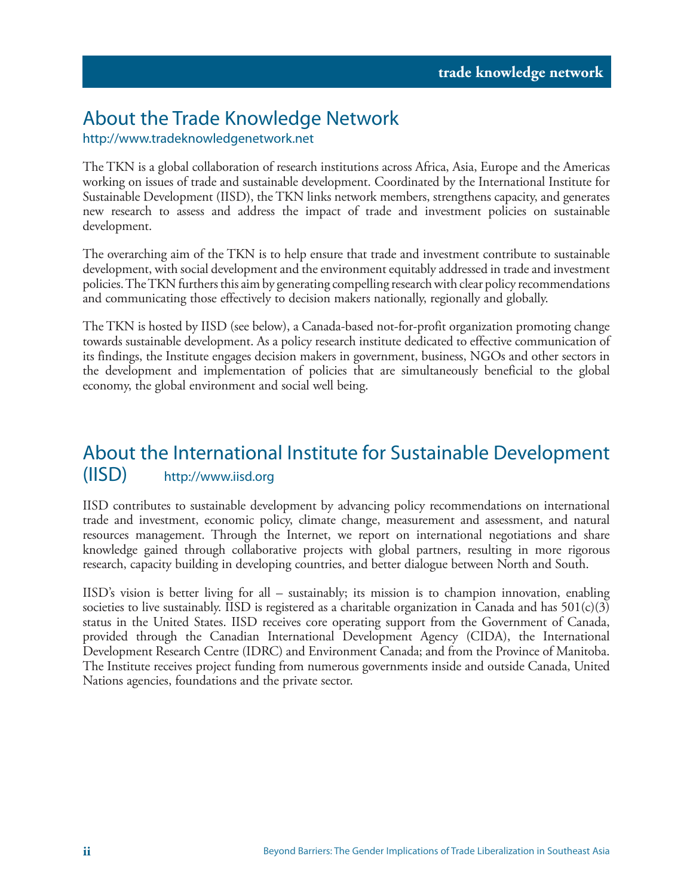### About the Trade Knowledge Network

#### http://www.tradeknowledgenetwork.net

The TKN is a global collaboration of research institutions across Africa, Asia, Europe and the Americas working on issues of trade and sustainable development. Coordinated by the International Institute for Sustainable Development (IISD), the TKN links network members, strengthens capacity, and generates new research to assess and address the impact of trade and investment policies on sustainable development.

The overarching aim of the TKN is to help ensure that trade and investment contribute to sustainable development, with social development and the environment equitably addressed in trade and investment policies. The TKN furthers this aim by generating compelling research with clear policy recommendations and communicating those effectively to decision makers nationally, regionally and globally.

The TKN is hosted by IISD (see below), a Canada-based not-for-profit organization promoting change towards sustainable development. As a policy research institute dedicated to effective communication of its findings, the Institute engages decision makers in government, business, NGOs and other sectors in the development and implementation of policies that are simultaneously beneficial to the global economy, the global environment and social well being.

### About the International Institute for Sustainable Development (IISD) http://www.iisd.org

IISD contributes to sustainable development by advancing policy recommendations on international trade and investment, economic policy, climate change, measurement and assessment, and natural resources management. Through the Internet, we report on international negotiations and share knowledge gained through collaborative projects with global partners, resulting in more rigorous research, capacity building in developing countries, and better dialogue between North and South.

IISD's vision is better living for all – sustainably; its mission is to champion innovation, enabling societies to live sustainably. IISD is registered as a charitable organization in Canada and has  $501(c)(3)$ status in the United States. IISD receives core operating support from the Government of Canada, provided through the Canadian International Development Agency (CIDA), the International Development Research Centre (IDRC) and Environment Canada; and from the Province of Manitoba. The Institute receives project funding from numerous governments inside and outside Canada, United Nations agencies, foundations and the private sector.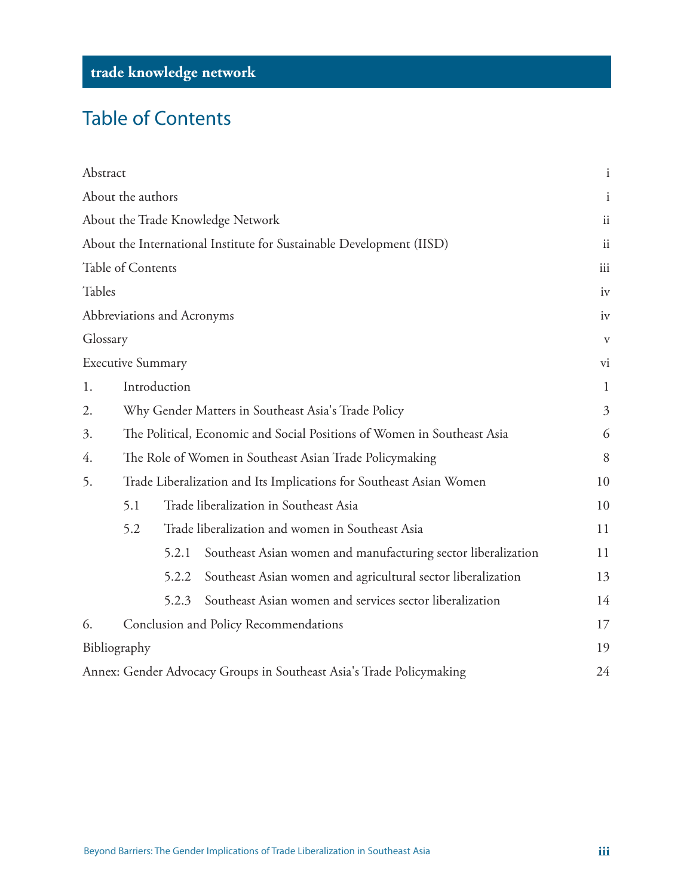# Table of Contents

| Abstract |                                                                              |                            |                                                                      | $\mathbf{i}$ |  |  |
|----------|------------------------------------------------------------------------------|----------------------------|----------------------------------------------------------------------|--------------|--|--|
|          | About the authors                                                            |                            |                                                                      | $\mathbf{i}$ |  |  |
|          |                                                                              |                            | About the Trade Knowledge Network                                    | ii           |  |  |
|          |                                                                              |                            | About the International Institute for Sustainable Development (IISD) | ii           |  |  |
|          | Table of Contents                                                            |                            |                                                                      | iii          |  |  |
| Tables   |                                                                              |                            |                                                                      | iv           |  |  |
|          |                                                                              | Abbreviations and Acronyms |                                                                      | iv           |  |  |
| Glossary |                                                                              |                            |                                                                      | $\mathbf{V}$ |  |  |
|          | <b>Executive Summary</b>                                                     |                            |                                                                      | vi           |  |  |
| 1.       | Introduction                                                                 |                            |                                                                      |              |  |  |
| 2.       | Why Gender Matters in Southeast Asia's Trade Policy                          |                            |                                                                      |              |  |  |
| 3.       | The Political, Economic and Social Positions of Women in Southeast Asia<br>6 |                            |                                                                      |              |  |  |
| 4.       | The Role of Women in Southeast Asian Trade Policymaking                      |                            |                                                                      |              |  |  |
| 5.       | Trade Liberalization and Its Implications for Southeast Asian Women<br>10    |                            |                                                                      |              |  |  |
|          | 5.1                                                                          |                            | Trade liberalization in Southeast Asia                               | 10           |  |  |
|          | 5.2                                                                          |                            | Trade liberalization and women in Southeast Asia                     | 11           |  |  |
|          |                                                                              | 5.2.1                      | Southeast Asian women and manufacturing sector liberalization        | 11           |  |  |
|          |                                                                              | 5.2.2                      | Southeast Asian women and agricultural sector liberalization         | 13           |  |  |
|          |                                                                              | 5.2.3                      | Southeast Asian women and services sector liberalization             | 14           |  |  |
| 6.       | Conclusion and Policy Recommendations                                        |                            |                                                                      |              |  |  |
|          | Bibliography                                                                 |                            |                                                                      | 19           |  |  |
|          |                                                                              |                            | Annex: Gender Advocacy Groups in Southeast Asia's Trade Policymaking | 24           |  |  |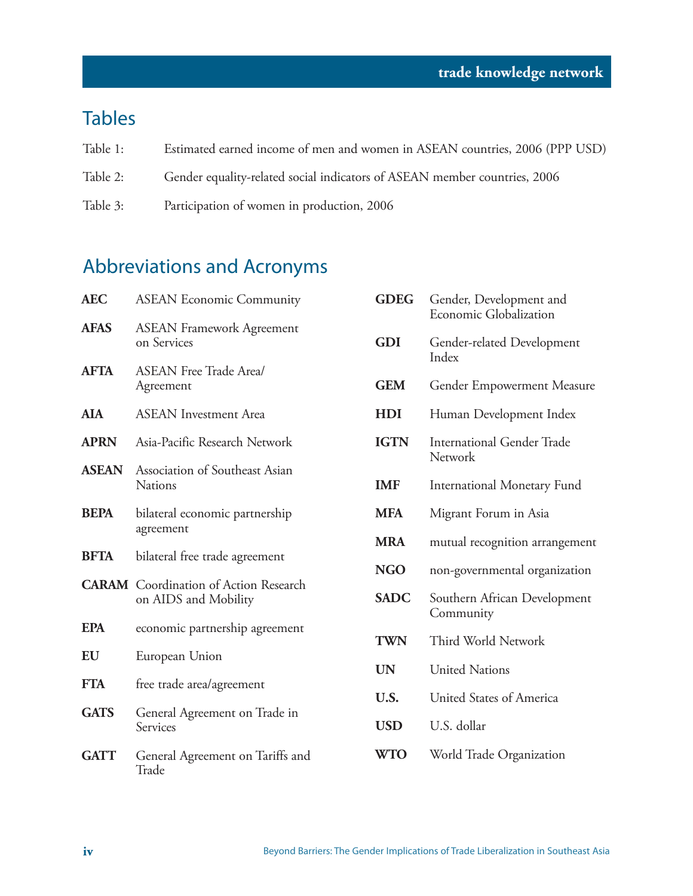### Tables

- Table 1: Estimated earned income of men and women in ASEAN countries, 2006 (PPP USD)
- Table 2: Gender equality-related social indicators of ASEAN member countries, 2006
- Table 3: Participation of women in production, 2006

### Abbreviations and Acronyms

| <b>AEC</b>   | <b>ASEAN Economic Community</b>                                      | <b>GDEG</b> | Gender, Development and<br>Economic Globalization |
|--------------|----------------------------------------------------------------------|-------------|---------------------------------------------------|
| <b>AFAS</b>  | <b>ASEAN Framework Agreement</b><br>on Services                      | <b>GDI</b>  | Gender-related Development<br>Index               |
| <b>AFTA</b>  | <b>ASEAN Free Trade Area/</b><br>Agreement                           | <b>GEM</b>  | Gender Empowerment Measure                        |
| <b>AIA</b>   | <b>ASEAN</b> Investment Area                                         | HDI         | Human Development Index                           |
| <b>APRN</b>  | Asia-Pacific Research Network                                        | <b>IGTN</b> | <b>International Gender Trade</b><br>Network      |
| <b>ASEAN</b> | Association of Southeast Asian<br><b>Nations</b>                     | <b>IMF</b>  | International Monetary Fund                       |
| <b>BEPA</b>  | bilateral economic partnership                                       | <b>MFA</b>  | Migrant Forum in Asia                             |
|              | agreement                                                            | <b>MRA</b>  | mutual recognition arrangement                    |
| <b>BFTA</b>  | bilateral free trade agreement                                       | <b>NGO</b>  | non-governmental organization                     |
|              | <b>CARAM</b> Coordination of Action Research<br>on AIDS and Mobility | <b>SADC</b> | Southern African Development<br>Community         |
| <b>EPA</b>   | economic partnership agreement                                       | <b>TWN</b>  | Third World Network                               |
| EU           | European Union                                                       | <b>UN</b>   | <b>United Nations</b>                             |
| <b>FTA</b>   | free trade area/agreement                                            | U.S.        | United States of America                          |
| <b>GATS</b>  | General Agreement on Trade in                                        |             |                                                   |
|              | <b>Services</b>                                                      | <b>USD</b>  | U.S. dollar                                       |
| <b>GATT</b>  | General Agreement on Tariffs and<br>Trade                            | <b>WTO</b>  | World Trade Organization                          |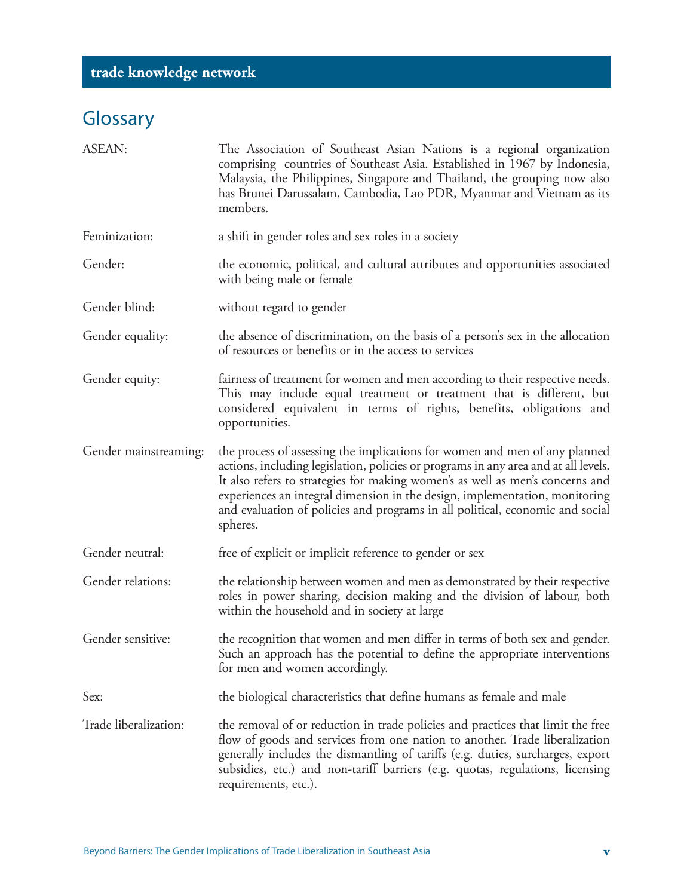# **Glossary**

| <b>ASEAN:</b>         | The Association of Southeast Asian Nations is a regional organization<br>comprising countries of Southeast Asia. Established in 1967 by Indonesia,<br>Malaysia, the Philippines, Singapore and Thailand, the grouping now also<br>has Brunei Darussalam, Cambodia, Lao PDR, Myanmar and Vietnam as its<br>members.                                                                                                             |
|-----------------------|--------------------------------------------------------------------------------------------------------------------------------------------------------------------------------------------------------------------------------------------------------------------------------------------------------------------------------------------------------------------------------------------------------------------------------|
| Feminization:         | a shift in gender roles and sex roles in a society                                                                                                                                                                                                                                                                                                                                                                             |
| Gender:               | the economic, political, and cultural attributes and opportunities associated<br>with being male or female                                                                                                                                                                                                                                                                                                                     |
| Gender blind:         | without regard to gender                                                                                                                                                                                                                                                                                                                                                                                                       |
| Gender equality:      | the absence of discrimination, on the basis of a person's sex in the allocation<br>of resources or benefits or in the access to services                                                                                                                                                                                                                                                                                       |
| Gender equity:        | fairness of treatment for women and men according to their respective needs.<br>This may include equal treatment or treatment that is different, but<br>considered equivalent in terms of rights, benefits, obligations and<br>opportunities.                                                                                                                                                                                  |
| Gender mainstreaming: | the process of assessing the implications for women and men of any planned<br>actions, including legislation, policies or programs in any area and at all levels.<br>It also refers to strategies for making women's as well as men's concerns and<br>experiences an integral dimension in the design, implementation, monitoring<br>and evaluation of policies and programs in all political, economic and social<br>spheres. |
| Gender neutral:       | free of explicit or implicit reference to gender or sex                                                                                                                                                                                                                                                                                                                                                                        |
| Gender relations:     | the relationship between women and men as demonstrated by their respective<br>roles in power sharing, decision making and the division of labour, both<br>within the household and in society at large                                                                                                                                                                                                                         |
| Gender sensitive:     | the recognition that women and men differ in terms of both sex and gender.<br>Such an approach has the potential to define the appropriate interventions<br>for men and women accordingly.                                                                                                                                                                                                                                     |
| Sex:                  | the biological characteristics that define humans as female and male                                                                                                                                                                                                                                                                                                                                                           |
| Trade liberalization: | the removal of or reduction in trade policies and practices that limit the free<br>flow of goods and services from one nation to another. Trade liberalization<br>generally includes the dismantling of tariffs (e.g. duties, surcharges, export<br>subsidies, etc.) and non-tariff barriers (e.g. quotas, regulations, licensing<br>requirements, etc.).                                                                      |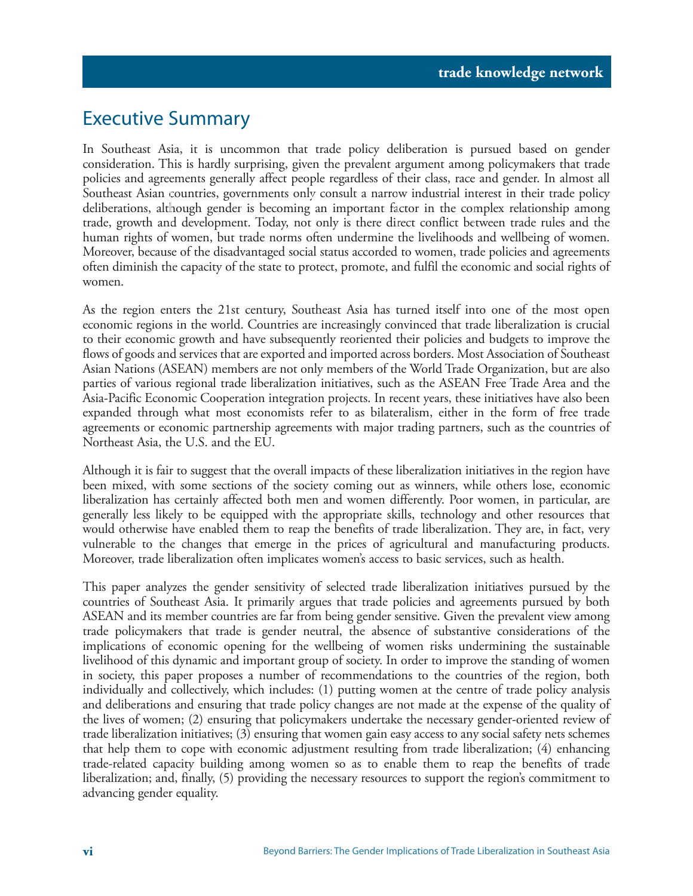### Executive Summary

In Southeast Asia, it is uncommon that trade policy deliberation is pursued based on gender consideration. This is hardly surprising, given the prevalent argument among policymakers that trade policies and agreements generally affect people regardless of their class, race and gender. In almost all Southeast Asian countries, governments only consult a narrow industrial interest in their trade policy deliberations, although gender is becoming an important factor in the complex relationship among trade, growth and development. Today, not only is there direct conflict between trade rules and the human rights of women, but trade norms often undermine the livelihoods and wellbeing of women. Moreover, because of the disadvantaged social status accorded to women, trade policies and agreements often diminish the capacity of the state to protect, promote, and fulfil the economic and social rights of women.

As the region enters the 21st century, Southeast Asia has turned itself into one of the most open economic regions in the world. Countries are increasingly convinced that trade liberalization is crucial to their economic growth and have subsequently reoriented their policies and budgets to improve the flows of goods and services that are exported and imported across borders. Most Association of Southeast Asian Nations (ASEAN) members are not only members of the World Trade Organization, but are also parties of various regional trade liberalization initiatives, such as the ASEAN Free Trade Area and the Asia-Pacific Economic Cooperation integration projects. In recent years, these initiatives have also been expanded through what most economists refer to as bilateralism, either in the form of free trade agreements or economic partnership agreements with major trading partners, such as the countries of Northeast Asia, the U.S. and the EU.

Although it is fair to suggest that the overall impacts of these liberalization initiatives in the region have been mixed, with some sections of the society coming out as winners, while others lose, economic liberalization has certainly affected both men and women differently. Poor women, in particular, are generally less likely to be equipped with the appropriate skills, technology and other resources that would otherwise have enabled them to reap the benefits of trade liberalization. They are, in fact, very vulnerable to the changes that emerge in the prices of agricultural and manufacturing products. Moreover, trade liberalization often implicates women's access to basic services, such as health.

This paper analyzes the gender sensitivity of selected trade liberalization initiatives pursued by the countries of Southeast Asia. It primarily argues that trade policies and agreements pursued by both ASEAN and its member countries are far from being gender sensitive. Given the prevalent view among trade policymakers that trade is gender neutral, the absence of substantive considerations of the implications of economic opening for the wellbeing of women risks undermining the sustainable livelihood of this dynamic and important group of society. In order to improve the standing of women in society, this paper proposes a number of recommendations to the countries of the region, both individually and collectively, which includes: (1) putting women at the centre of trade policy analysis and deliberations and ensuring that trade policy changes are not made at the expense of the quality of the lives of women; (2) ensuring that policymakers undertake the necessary gender-oriented review of trade liberalization initiatives; (3) ensuring that women gain easy access to any social safety nets schemes that help them to cope with economic adjustment resulting from trade liberalization; (4) enhancing trade-related capacity building among women so as to enable them to reap the benefits of trade liberalization; and, finally, (5) providing the necessary resources to support the region's commitment to advancing gender equality.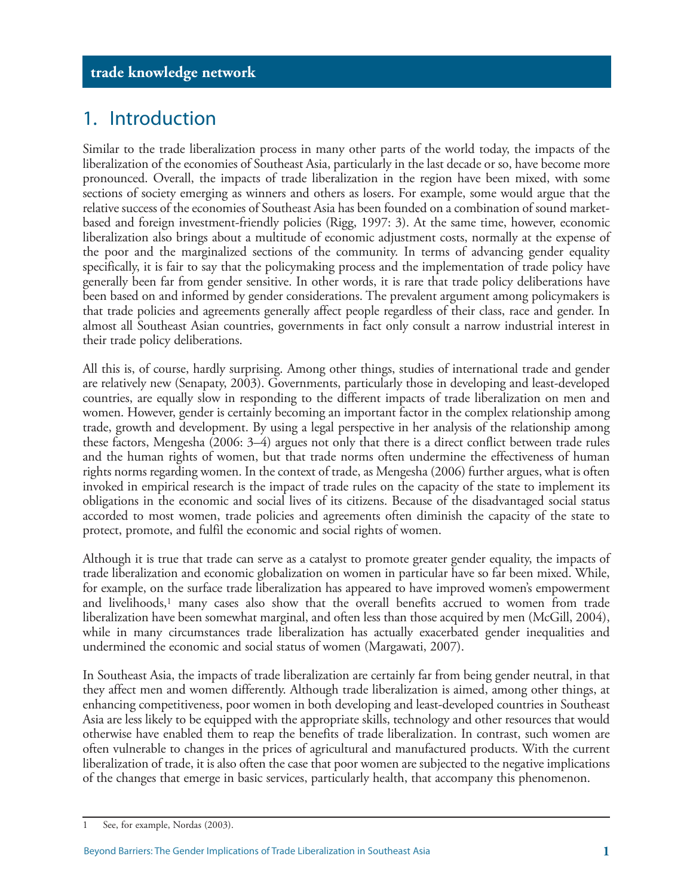### 1. Introduction

Similar to the trade liberalization process in many other parts of the world today, the impacts of the liberalization of the economies of Southeast Asia, particularly in the last decade or so, have become more pronounced. Overall, the impacts of trade liberalization in the region have been mixed, with some sections of society emerging as winners and others as losers. For example, some would argue that the relative success of the economies of Southeast Asia has been founded on a combination of sound marketbased and foreign investment-friendly policies (Rigg, 1997: 3). At the same time, however, economic liberalization also brings about a multitude of economic adjustment costs, normally at the expense of the poor and the marginalized sections of the community. In terms of advancing gender equality specifically, it is fair to say that the policymaking process and the implementation of trade policy have generally been far from gender sensitive. In other words, it is rare that trade policy deliberations have been based on and informed by gender considerations. The prevalent argument among policymakers is that trade policies and agreements generally affect people regardless of their class, race and gender. In almost all Southeast Asian countries, governments in fact only consult a narrow industrial interest in their trade policy deliberations.

All this is, of course, hardly surprising. Among other things, studies of international trade and gender are relatively new (Senapaty, 2003). Governments, particularly those in developing and least-developed countries, are equally slow in responding to the different impacts of trade liberalization on men and women. However, gender is certainly becoming an important factor in the complex relationship among trade, growth and development. By using a legal perspective in her analysis of the relationship among these factors, Mengesha (2006: 3–4) argues not only that there is a direct conflict between trade rules and the human rights of women, but that trade norms often undermine the effectiveness of human rights norms regarding women. In the context of trade, as Mengesha (2006) further argues, what is often invoked in empirical research is the impact of trade rules on the capacity of the state to implement its obligations in the economic and social lives of its citizens. Because of the disadvantaged social status accorded to most women, trade policies and agreements often diminish the capacity of the state to protect, promote, and fulfil the economic and social rights of women.

Although it is true that trade can serve as a catalyst to promote greater gender equality, the impacts of trade liberalization and economic globalization on women in particular have so far been mixed. While, for example, on the surface trade liberalization has appeared to have improved women's empowerment and livelihoods,<sup>1</sup> many cases also show that the overall benefits accrued to women from trade liberalization have been somewhat marginal, and often less than those acquired by men (McGill, 2004), while in many circumstances trade liberalization has actually exacerbated gender inequalities and undermined the economic and social status of women (Margawati, 2007).

In Southeast Asia, the impacts of trade liberalization are certainly far from being gender neutral, in that they affect men and women differently. Although trade liberalization is aimed, among other things, at enhancing competitiveness, poor women in both developing and least-developed countries in Southeast Asia are less likely to be equipped with the appropriate skills, technology and other resources that would otherwise have enabled them to reap the benefits of trade liberalization. In contrast, such women are often vulnerable to changes in the prices of agricultural and manufactured products. With the current liberalization of trade, it is also often the case that poor women are subjected to the negative implications of the changes that emerge in basic services, particularly health, that accompany this phenomenon.

<sup>1</sup> See, for example, Nordas (2003).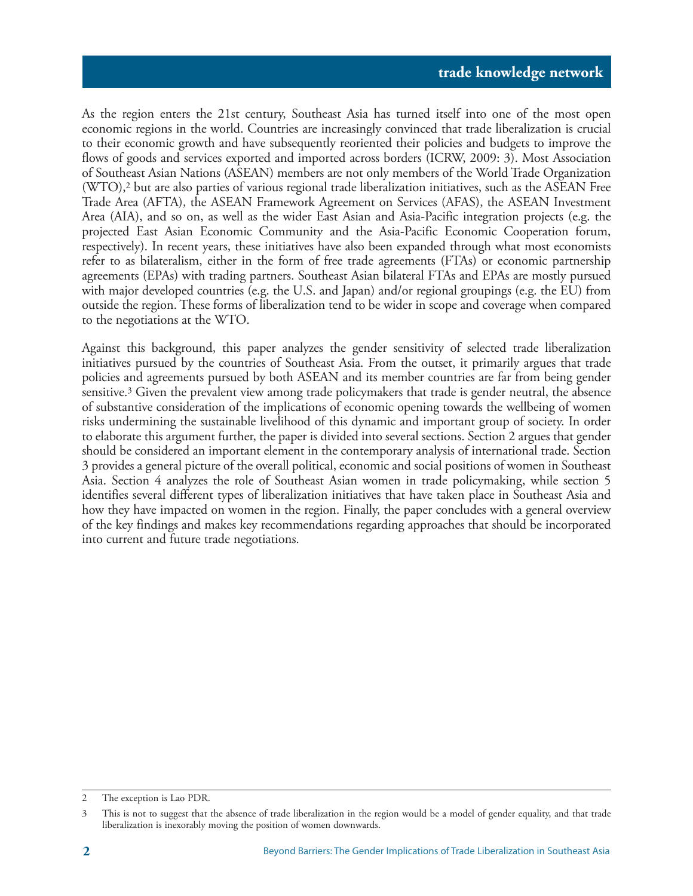As the region enters the 21st century, Southeast Asia has turned itself into one of the most open economic regions in the world. Countries are increasingly convinced that trade liberalization is crucial to their economic growth and have subsequently reoriented their policies and budgets to improve the flows of goods and services exported and imported across borders (ICRW, 2009: 3). Most Association of Southeast Asian Nations (ASEAN) members are not only members of the World Trade Organization (WTO),2 but are also parties of various regional trade liberalization initiatives, such as the ASEAN Free Trade Area (AFTA), the ASEAN Framework Agreement on Services (AFAS), the ASEAN Investment Area (AIA), and so on, as well as the wider East Asian and Asia-Pacific integration projects (e.g. the projected East Asian Economic Community and the Asia-Pacific Economic Cooperation forum, respectively). In recent years, these initiatives have also been expanded through what most economists refer to as bilateralism, either in the form of free trade agreements (FTAs) or economic partnership agreements (EPAs) with trading partners. Southeast Asian bilateral FTAs and EPAs are mostly pursued with major developed countries (e.g. the U.S. and Japan) and/or regional groupings (e.g. the EU) from outside the region. These forms of liberalization tend to be wider in scope and coverage when compared to the negotiations at the WTO.

Against this background, this paper analyzes the gender sensitivity of selected trade liberalization initiatives pursued by the countries of Southeast Asia. From the outset, it primarily argues that trade policies and agreements pursued by both ASEAN and its member countries are far from being gender sensitive.3 Given the prevalent view among trade policymakers that trade is gender neutral, the absence of substantive consideration of the implications of economic opening towards the wellbeing of women risks undermining the sustainable livelihood of this dynamic and important group of society. In order to elaborate this argument further, the paper is divided into several sections. Section 2 argues that gender should be considered an important element in the contemporary analysis of international trade. Section 3 provides a general picture of the overall political, economic and social positions of women in Southeast Asia. Section 4 analyzes the role of Southeast Asian women in trade policymaking, while section 5 identifies several different types of liberalization initiatives that have taken place in Southeast Asia and how they have impacted on women in the region. Finally, the paper concludes with a general overview of the key findings and makes key recommendations regarding approaches that should be incorporated into current and future trade negotiations.

<sup>2</sup> The exception is Lao PDR.

<sup>3</sup> This is not to suggest that the absence of trade liberalization in the region would be a model of gender equality, and that trade liberalization is inexorably moving the position of women downwards.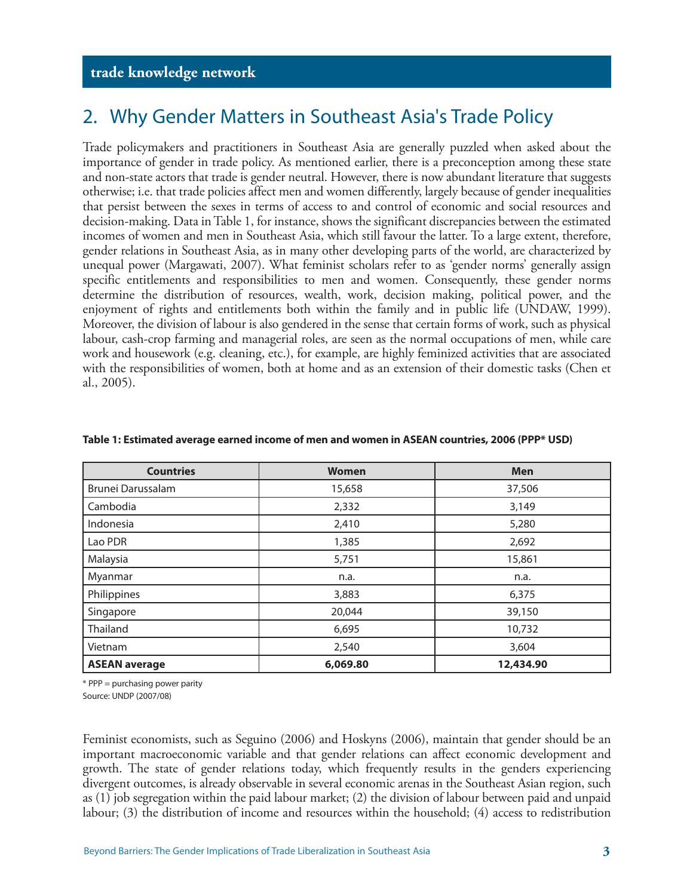### 2. Why Gender Matters in Southeast Asia's Trade Policy

Trade policymakers and practitioners in Southeast Asia are generally puzzled when asked about the importance of gender in trade policy. As mentioned earlier, there is a preconception among these state and non-state actors that trade is gender neutral. However, there is now abundant literature that suggests otherwise; i.e. that trade policies affect men and women differently, largely because of gender inequalities that persist between the sexes in terms of access to and control of economic and social resources and decision-making. Data in Table 1, for instance, shows the significant discrepancies between the estimated incomes of women and men in Southeast Asia, which still favour the latter. To a large extent, therefore, gender relations in Southeast Asia, as in many other developing parts of the world, are characterized by unequal power (Margawati, 2007). What feminist scholars refer to as 'gender norms' generally assign specific entitlements and responsibilities to men and women. Consequently, these gender norms determine the distribution of resources, wealth, work, decision making, political power, and the enjoyment of rights and entitlements both within the family and in public life (UNDAW, 1999). Moreover, the division of labour is also gendered in the sense that certain forms of work, such as physical labour, cash-crop farming and managerial roles, are seen as the normal occupations of men, while care work and housework (e.g. cleaning, etc.), for example, are highly feminized activities that are associated with the responsibilities of women, both at home and as an extension of their domestic tasks (Chen et al., 2005).

| <b>Countries</b>     | <b>Women</b> | <b>Men</b> |  |
|----------------------|--------------|------------|--|
| Brunei Darussalam    | 15,658       | 37,506     |  |
| Cambodia             | 2,332        | 3,149      |  |
| Indonesia            | 2,410        | 5,280      |  |
| Lao PDR              | 1,385        | 2,692      |  |
| Malaysia             | 5,751        | 15,861     |  |
| Myanmar              | n.a.         | n.a.       |  |
| Philippines          | 3,883        | 6,375      |  |
| Singapore            | 20,044       | 39,150     |  |
| Thailand             | 6,695        | 10,732     |  |
| Vietnam              | 2,540        | 3,604      |  |
| <b>ASEAN average</b> | 6,069.80     | 12,434.90  |  |

#### **Table 1: Estimated average earned income of men and women in ASEAN countries, 2006 (PPP\* USD)**

\* PPP = purchasing power parity

Source: UNDP (2007/08)

Feminist economists, such as Seguino (2006) and Hoskyns (2006), maintain that gender should be an important macroeconomic variable and that gender relations can affect economic development and growth. The state of gender relations today, which frequently results in the genders experiencing divergent outcomes, is already observable in several economic arenas in the Southeast Asian region, such as (1) job segregation within the paid labour market; (2) the division of labour between paid and unpaid labour; (3) the distribution of income and resources within the household; (4) access to redistribution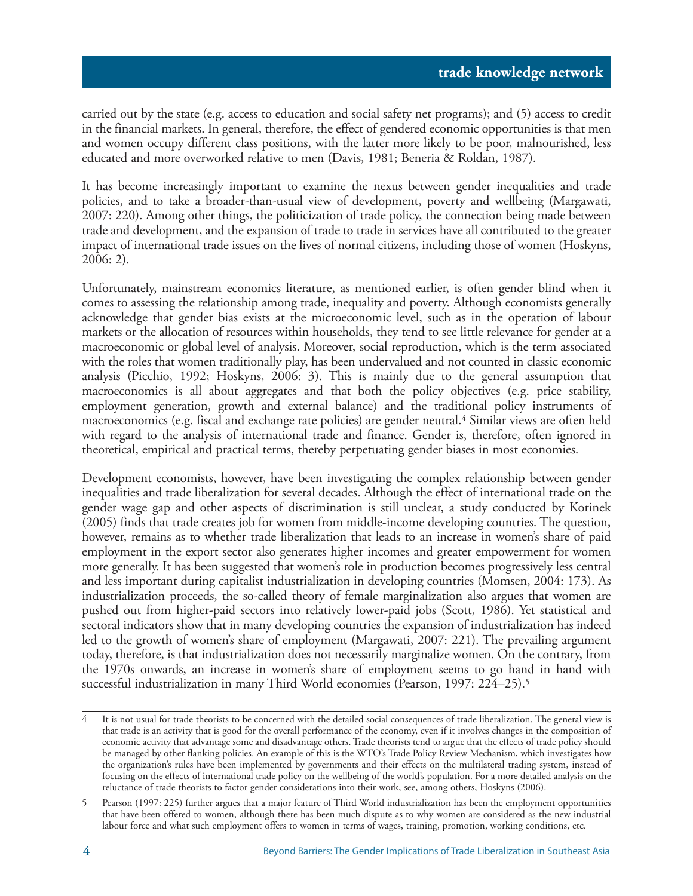carried out by the state (e.g. access to education and social safety net programs); and (5) access to credit in the financial markets. In general, therefore, the effect of gendered economic opportunities is that men and women occupy different class positions, with the latter more likely to be poor, malnourished, less educated and more overworked relative to men (Davis, 1981; Beneria & Roldan, 1987).

It has become increasingly important to examine the nexus between gender inequalities and trade policies, and to take a broader-than-usual view of development, poverty and wellbeing (Margawati, 2007: 220). Among other things, the politicization of trade policy, the connection being made between trade and development, and the expansion of trade to trade in services have all contributed to the greater impact of international trade issues on the lives of normal citizens, including those of women (Hoskyns, 2006: 2).

Unfortunately, mainstream economics literature, as mentioned earlier, is often gender blind when it comes to assessing the relationship among trade, inequality and poverty. Although economists generally acknowledge that gender bias exists at the microeconomic level, such as in the operation of labour markets or the allocation of resources within households, they tend to see little relevance for gender at a macroeconomic or global level of analysis. Moreover, social reproduction, which is the term associated with the roles that women traditionally play, has been undervalued and not counted in classic economic analysis (Picchio, 1992; Hoskyns, 2006: 3). This is mainly due to the general assumption that macroeconomics is all about aggregates and that both the policy objectives (e.g. price stability, employment generation, growth and external balance) and the traditional policy instruments of macroeconomics (e.g. fiscal and exchange rate policies) are gender neutral.4 Similar views are often held with regard to the analysis of international trade and finance. Gender is, therefore, often ignored in theoretical, empirical and practical terms, thereby perpetuating gender biases in most economies.

Development economists, however, have been investigating the complex relationship between gender inequalities and trade liberalization for several decades. Although the effect of international trade on the gender wage gap and other aspects of discrimination is still unclear, a study conducted by Korinek (2005) finds that trade creates job for women from middle-income developing countries. The question, however, remains as to whether trade liberalization that leads to an increase in women's share of paid employment in the export sector also generates higher incomes and greater empowerment for women more generally. It has been suggested that women's role in production becomes progressively less central and less important during capitalist industrialization in developing countries (Momsen, 2004: 173). As industrialization proceeds, the so-called theory of female marginalization also argues that women are pushed out from higher-paid sectors into relatively lower-paid jobs (Scott, 1986). Yet statistical and sectoral indicators show that in many developing countries the expansion of industrialization has indeed led to the growth of women's share of employment (Margawati, 2007: 221). The prevailing argument today, therefore, is that industrialization does not necessarily marginalize women. On the contrary, from the 1970s onwards, an increase in women's share of employment seems to go hand in hand with successful industrialization in many Third World economies (Pearson, 1997: 224–25).5

<sup>4</sup> It is not usual for trade theorists to be concerned with the detailed social consequences of trade liberalization. The general view is that trade is an activity that is good for the overall performance of the economy, even if it involves changes in the composition of economic activity that advantage some and disadvantage others. Trade theorists tend to argue that the effects of trade policy should be managed by other flanking policies. An example of this is the WTO's Trade Policy Review Mechanism, which investigates how the organization's rules have been implemented by governments and their effects on the multilateral trading system, instead of focusing on the effects of international trade policy on the wellbeing of the world's population. For a more detailed analysis on the reluctance of trade theorists to factor gender considerations into their work, see, among others, Hoskyns (2006).

<sup>5</sup> Pearson (1997: 225) further argues that a major feature of Third World industrialization has been the employment opportunities that have been offered to women, although there has been much dispute as to why women are considered as the new industrial labour force and what such employment offers to women in terms of wages, training, promotion, working conditions, etc.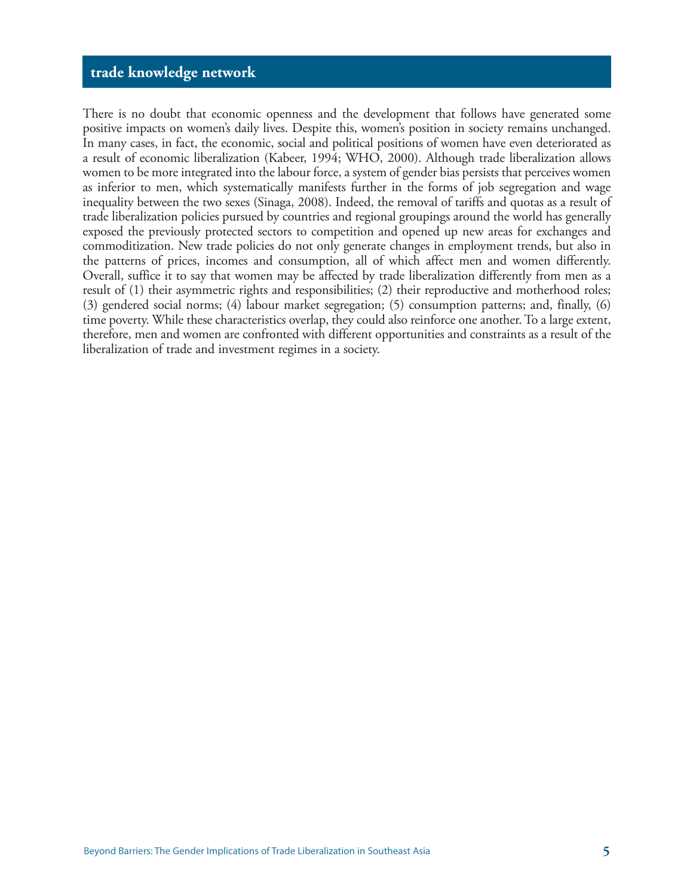There is no doubt that economic openness and the development that follows have generated some positive impacts on women's daily lives. Despite this, women's position in society remains unchanged. In many cases, in fact, the economic, social and political positions of women have even deteriorated as a result of economic liberalization (Kabeer, 1994; WHO, 2000). Although trade liberalization allows women to be more integrated into the labour force, a system of gender bias persists that perceives women as inferior to men, which systematically manifests further in the forms of job segregation and wage inequality between the two sexes (Sinaga, 2008). Indeed, the removal of tariffs and quotas as a result of trade liberalization policies pursued by countries and regional groupings around the world has generally exposed the previously protected sectors to competition and opened up new areas for exchanges and commoditization. New trade policies do not only generate changes in employment trends, but also in the patterns of prices, incomes and consumption, all of which affect men and women differently. Overall, suffice it to say that women may be affected by trade liberalization differently from men as a result of (1) their asymmetric rights and responsibilities; (2) their reproductive and motherhood roles; (3) gendered social norms; (4) labour market segregation; (5) consumption patterns; and, finally, (6) time poverty. While these characteristics overlap, they could also reinforce one another. To a large extent, therefore, men and women are confronted with different opportunities and constraints as a result of the liberalization of trade and investment regimes in a society.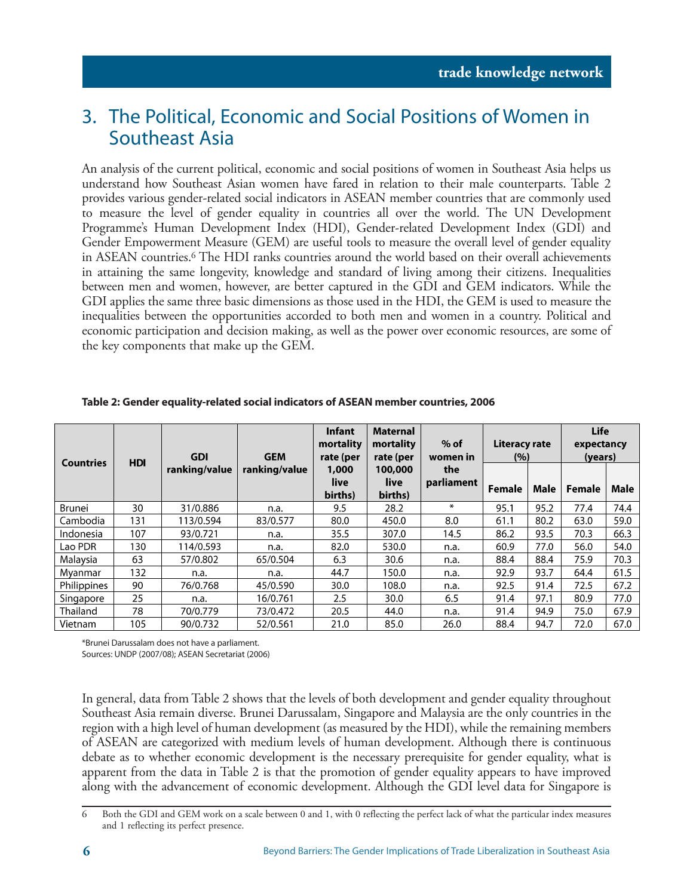### 3. The Political, Economic and Social Positions of Women in Southeast Asia

An analysis of the current political, economic and social positions of women in Southeast Asia helps us understand how Southeast Asian women have fared in relation to their male counterparts. Table 2 provides various gender-related social indicators in ASEAN member countries that are commonly used to measure the level of gender equality in countries all over the world. The UN Development Programme's Human Development Index (HDI), Gender-related Development Index (GDI) and Gender Empowerment Measure (GEM) are useful tools to measure the overall level of gender equality in ASEAN countries.6 The HDI ranks countries around the world based on their overall achievements in attaining the same longevity, knowledge and standard of living among their citizens. Inequalities between men and women, however, are better captured in the GDI and GEM indicators. While the GDI applies the same three basic dimensions as those used in the HDI, the GEM is used to measure the inequalities between the opportunities accorded to both men and women in a country. Political and economic participation and decision making, as well as the power over economic resources, are some of the key components that make up the GEM.

| <b>Countries</b>   | <b>HDI</b> | <b>GDI</b>    | <b>Infant</b><br>mortality<br><b>GEM</b><br>rate (per |                          | <b>Maternal</b><br>mortality<br>rate (per | $%$ of<br>women in | <b>Literacy rate</b><br>(%) |      | <b>Life</b><br>expectancy<br>(years) |      |
|--------------------|------------|---------------|-------------------------------------------------------|--------------------------|-------------------------------------------|--------------------|-----------------------------|------|--------------------------------------|------|
|                    |            | ranking/value | ranking/value                                         | 1,000<br>live<br>births) | 100,000<br>live<br>births)                | the<br>parliament  | Female                      | Male | Female                               | Male |
| <b>Brunei</b>      | 30         | 31/0.886      | n.a.                                                  | 9.5                      | 28.2                                      | $\ast$             | 95.1                        | 95.2 | 77.4                                 | 74.4 |
| Cambodia           | 131        | 113/0.594     | 83/0.577                                              | 80.0                     | 450.0                                     | 8.0                | 61.1                        | 80.2 | 63.0                                 | 59.0 |
| Indonesia          | 107        | 93/0.721      | n.a.                                                  | 35.5                     | 307.0                                     | 14.5               | 86.2                        | 93.5 | 70.3                                 | 66.3 |
| Lao PDR            | 130        | 114/0.593     | n.a.                                                  | 82.0                     | 530.0                                     | n.a.               | 60.9                        | 77.0 | 56.0                                 | 54.0 |
| Malaysia           | 63         | 57/0.802      | 65/0.504                                              | 6.3                      | 30.6                                      | n.a.               | 88.4                        | 88.4 | 75.9                                 | 70.3 |
| Mvanmar            | 132        | n.a.          | n.a.                                                  | 44.7                     | 150.0                                     | n.a.               | 92.9                        | 93.7 | 64.4                                 | 61.5 |
| <b>Philippines</b> | 90         | 76/0.768      | 45/0.590                                              | 30.0                     | 108.0                                     | n.a.               | 92.5                        | 91.4 | 72.5                                 | 67.2 |
| Singapore          | 25         | n.a.          | 16/0.761                                              | 2.5                      | 30.0                                      | 6.5                | 91.4                        | 97.1 | 80.9                                 | 77.0 |
| Thailand           | 78         | 70/0.779      | 73/0.472                                              | 20.5                     | 44.0                                      | n.a.               | 91.4                        | 94.9 | 75.0                                 | 67.9 |
| Vietnam            | 105        | 90/0.732      | 52/0.561                                              | 21.0                     | 85.0                                      | 26.0               | 88.4                        | 94.7 | 72.0                                 | 67.0 |

**Table 2: Gender equality-related social indicators of ASEAN member countries, 2006**

\*Brunei Darussalam does not have a parliament.

Sources: UNDP (2007/08); ASEAN Secretariat (2006)

In general, data from Table 2 shows that the levels of both development and gender equality throughout Southeast Asia remain diverse. Brunei Darussalam, Singapore and Malaysia are the only countries in the region with a high level of human development (as measured by the HDI), while the remaining members of ASEAN are categorized with medium levels of human development. Although there is continuous debate as to whether economic development is the necessary prerequisite for gender equality, what is apparent from the data in Table 2 is that the promotion of gender equality appears to have improved along with the advancement of economic development. Although the GDI level data for Singapore is

<sup>6</sup> Both the GDI and GEM work on a scale between 0 and 1, with 0 reflecting the perfect lack of what the particular index measures and 1 reflecting its perfect presence.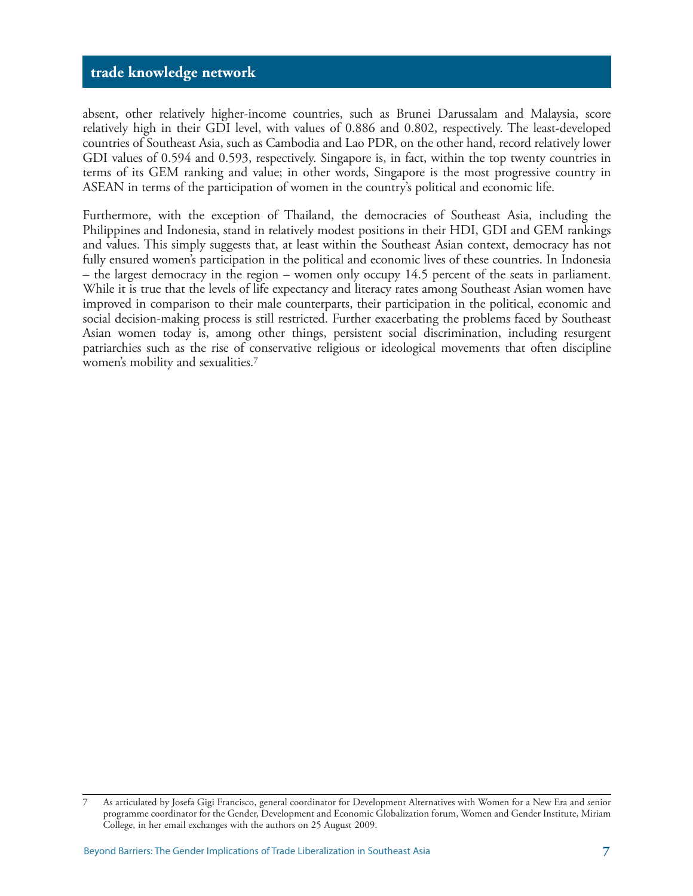absent, other relatively higher-income countries, such as Brunei Darussalam and Malaysia, score relatively high in their GDI level, with values of 0.886 and 0.802, respectively. The least-developed countries of Southeast Asia, such as Cambodia and Lao PDR, on the other hand, record relatively lower GDI values of 0.594 and 0.593, respectively. Singapore is, in fact, within the top twenty countries in terms of its GEM ranking and value; in other words, Singapore is the most progressive country in ASEAN in terms of the participation of women in the country's political and economic life.

Furthermore, with the exception of Thailand, the democracies of Southeast Asia, including the Philippines and Indonesia, stand in relatively modest positions in their HDI, GDI and GEM rankings and values. This simply suggests that, at least within the Southeast Asian context, democracy has not fully ensured women's participation in the political and economic lives of these countries. In Indonesia – the largest democracy in the region – women only occupy 14.5 percent of the seats in parliament. While it is true that the levels of life expectancy and literacy rates among Southeast Asian women have improved in comparison to their male counterparts, their participation in the political, economic and social decision-making process is still restricted. Further exacerbating the problems faced by Southeast Asian women today is, among other things, persistent social discrimination, including resurgent patriarchies such as the rise of conservative religious or ideological movements that often discipline women's mobility and sexualities.7

<sup>7</sup> As articulated by Josefa Gigi Francisco, general coordinator for Development Alternatives with Women for a New Era and senior programme coordinator for the Gender, Development and Economic Globalization forum, Women and Gender Institute, Miriam College, in her email exchanges with the authors on 25 August 2009.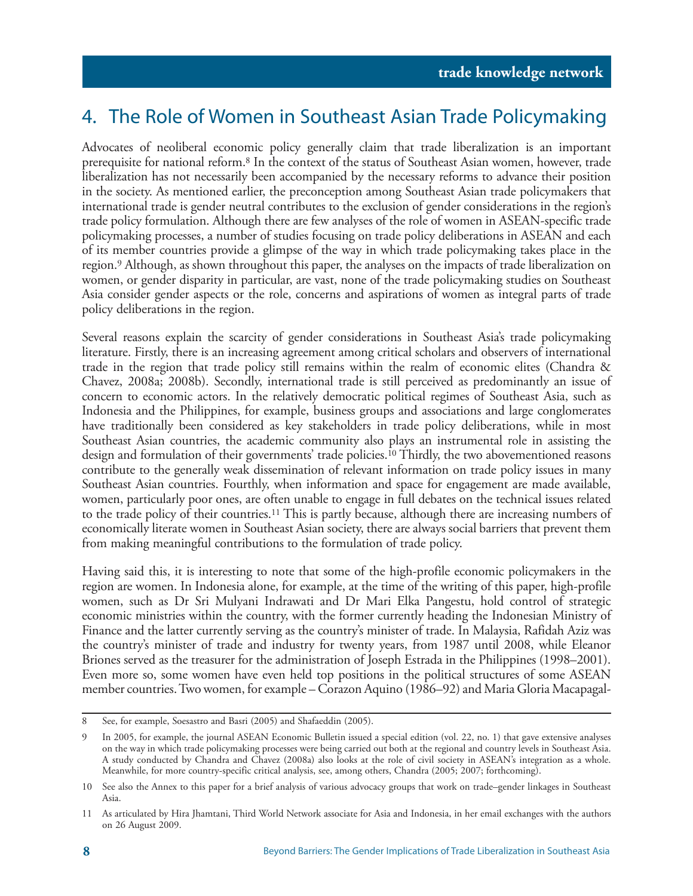### 4. The Role of Women in Southeast Asian Trade Policymaking

Advocates of neoliberal economic policy generally claim that trade liberalization is an important prerequisite for national reform.8 In the context of the status of Southeast Asian women, however, trade liberalization has not necessarily been accompanied by the necessary reforms to advance their position in the society. As mentioned earlier, the preconception among Southeast Asian trade policymakers that international trade is gender neutral contributes to the exclusion of gender considerations in the region's trade policy formulation. Although there are few analyses of the role of women in ASEAN-specific trade policymaking processes, a number of studies focusing on trade policy deliberations in ASEAN and each of its member countries provide a glimpse of the way in which trade policymaking takes place in the region.9 Although, as shown throughout this paper, the analyses on the impacts of trade liberalization on women, or gender disparity in particular, are vast, none of the trade policymaking studies on Southeast Asia consider gender aspects or the role, concerns and aspirations of women as integral parts of trade policy deliberations in the region.

Several reasons explain the scarcity of gender considerations in Southeast Asia's trade policymaking literature. Firstly, there is an increasing agreement among critical scholars and observers of international trade in the region that trade policy still remains within the realm of economic elites (Chandra & Chavez, 2008a; 2008b). Secondly, international trade is still perceived as predominantly an issue of concern to economic actors. In the relatively democratic political regimes of Southeast Asia, such as Indonesia and the Philippines, for example, business groups and associations and large conglomerates have traditionally been considered as key stakeholders in trade policy deliberations, while in most Southeast Asian countries, the academic community also plays an instrumental role in assisting the design and formulation of their governments' trade policies.10 Thirdly, the two abovementioned reasons contribute to the generally weak dissemination of relevant information on trade policy issues in many Southeast Asian countries. Fourthly, when information and space for engagement are made available, women, particularly poor ones, are often unable to engage in full debates on the technical issues related to the trade policy of their countries.11 This is partly because, although there are increasing numbers of economically literate women in Southeast Asian society, there are always social barriers that prevent them from making meaningful contributions to the formulation of trade policy.

Having said this, it is interesting to note that some of the high-profile economic policymakers in the region are women. In Indonesia alone, for example, at the time of the writing of this paper, high-profile women, such as Dr Sri Mulyani Indrawati and Dr Mari Elka Pangestu, hold control of strategic economic ministries within the country, with the former currently heading the Indonesian Ministry of Finance and the latter currently serving as the country's minister of trade. In Malaysia, Rafidah Aziz was the country's minister of trade and industry for twenty years, from 1987 until 2008, while Eleanor Briones served as the treasurer for the administration of Joseph Estrada in the Philippines (1998–2001). Even more so, some women have even held top positions in the political structures of some ASEAN member countries. Two women, for example – Corazon Aquino (1986–92) and Maria Gloria Macapagal-

<sup>8</sup> See, for example, Soesastro and Basri (2005) and Shafaeddin (2005).

<sup>9</sup> In 2005, for example, the journal ASEAN Economic Bulletin issued a special edition (vol. 22, no. 1) that gave extensive analyses on the way in which trade policymaking processes were being carried out both at the regional and country levels in Southeast Asia. A study conducted by Chandra and Chavez (2008a) also looks at the role of civil society in ASEAN's integration as a whole. Meanwhile, for more country-specific critical analysis, see, among others, Chandra (2005; 2007; forthcoming).

<sup>10</sup> See also the Annex to this paper for a brief analysis of various advocacy groups that work on trade–gender linkages in Southeast Asia.

<sup>11</sup> As articulated by Hira Jhamtani, Third World Network associate for Asia and Indonesia, in her email exchanges with the authors on 26 August 2009.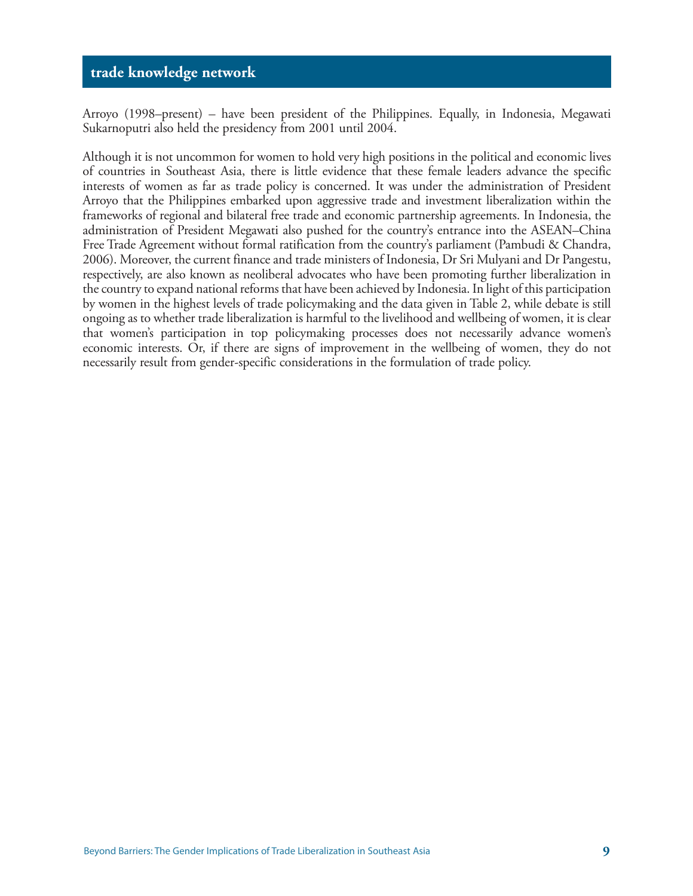Arroyo (1998–present) – have been president of the Philippines. Equally, in Indonesia, Megawati Sukarnoputri also held the presidency from 2001 until 2004.

Although it is not uncommon for women to hold very high positions in the political and economic lives of countries in Southeast Asia, there is little evidence that these female leaders advance the specific interests of women as far as trade policy is concerned. It was under the administration of President Arroyo that the Philippines embarked upon aggressive trade and investment liberalization within the frameworks of regional and bilateral free trade and economic partnership agreements. In Indonesia, the administration of President Megawati also pushed for the country's entrance into the ASEAN–China Free Trade Agreement without formal ratification from the country's parliament (Pambudi & Chandra, 2006). Moreover, the current finance and trade ministers of Indonesia, Dr Sri Mulyani and Dr Pangestu, respectively, are also known as neoliberal advocates who have been promoting further liberalization in the country to expand national reforms that have been achieved by Indonesia. In light of this participation by women in the highest levels of trade policymaking and the data given in Table 2, while debate is still ongoing as to whether trade liberalization is harmful to the livelihood and wellbeing of women, it is clear that women's participation in top policymaking processes does not necessarily advance women's economic interests. Or, if there are signs of improvement in the wellbeing of women, they do not necessarily result from gender-specific considerations in the formulation of trade policy.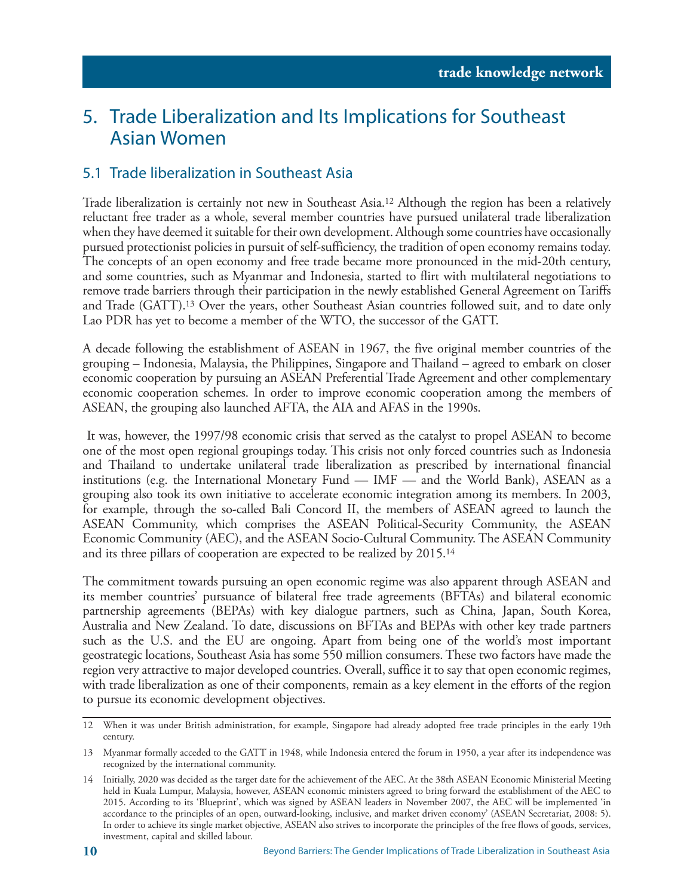### 5. Trade Liberalization and Its Implications for Southeast Asian Women

### 5.1 Trade liberalization in Southeast Asia

Trade liberalization is certainly not new in Southeast Asia.12 Although the region has been a relatively reluctant free trader as a whole, several member countries have pursued unilateral trade liberalization when they have deemed it suitable for their own development. Although some countries have occasionally pursued protectionist policies in pursuit of self-sufficiency, the tradition of open economy remains today. The concepts of an open economy and free trade became more pronounced in the mid-20th century, and some countries, such as Myanmar and Indonesia, started to flirt with multilateral negotiations to remove trade barriers through their participation in the newly established General Agreement on Tariffs and Trade (GATT).13 Over the years, other Southeast Asian countries followed suit, and to date only Lao PDR has yet to become a member of the WTO, the successor of the GATT.

A decade following the establishment of ASEAN in 1967, the five original member countries of the grouping – Indonesia, Malaysia, the Philippines, Singapore and Thailand – agreed to embark on closer economic cooperation by pursuing an ASEAN Preferential Trade Agreement and other complementary economic cooperation schemes. In order to improve economic cooperation among the members of ASEAN, the grouping also launched AFTA, the AIA and AFAS in the 1990s.

 It was, however, the 1997/98 economic crisis that served as the catalyst to propel ASEAN to become one of the most open regional groupings today. This crisis not only forced countries such as Indonesia and Thailand to undertake unilateral trade liberalization as prescribed by international financial institutions (e.g. the International Monetary Fund — IMF — and the World Bank), ASEAN as a grouping also took its own initiative to accelerate economic integration among its members. In 2003, for example, through the so-called Bali Concord II, the members of ASEAN agreed to launch the ASEAN Community, which comprises the ASEAN Political-Security Community, the ASEAN Economic Community (AEC), and the ASEAN Socio-Cultural Community. The ASEAN Community and its three pillars of cooperation are expected to be realized by 2015.<sup>14</sup>

The commitment towards pursuing an open economic regime was also apparent through ASEAN and its member countries' pursuance of bilateral free trade agreements (BFTAs) and bilateral economic partnership agreements (BEPAs) with key dialogue partners, such as China, Japan, South Korea, Australia and New Zealand. To date, discussions on BFTAs and BEPAs with other key trade partners such as the U.S. and the EU are ongoing. Apart from being one of the world's most important geostrategic locations, Southeast Asia has some 550 million consumers. These two factors have made the region very attractive to major developed countries. Overall, suffice it to say that open economic regimes, with trade liberalization as one of their components, remain as a key element in the efforts of the region to pursue its economic development objectives.

<sup>12</sup> When it was under British administration, for example, Singapore had already adopted free trade principles in the early 19th century.

<sup>13</sup> Myanmar formally acceded to the GATT in 1948, while Indonesia entered the forum in 1950, a year after its independence was recognized by the international community.

<sup>14</sup> Initially, 2020 was decided as the target date for the achievement of the AEC. At the 38th ASEAN Economic Ministerial Meeting held in Kuala Lumpur, Malaysia, however, ASEAN economic ministers agreed to bring forward the establishment of the AEC to 2015. According to its 'Blueprint', which was signed by ASEAN leaders in November 2007, the AEC will be implemented 'in accordance to the principles of an open, outward-looking, inclusive, and market driven economy' (ASEAN Secretariat, 2008: 5). In order to achieve its single market objective, ASEAN also strives to incorporate the principles of the free flows of goods, services, investment, capital and skilled labour.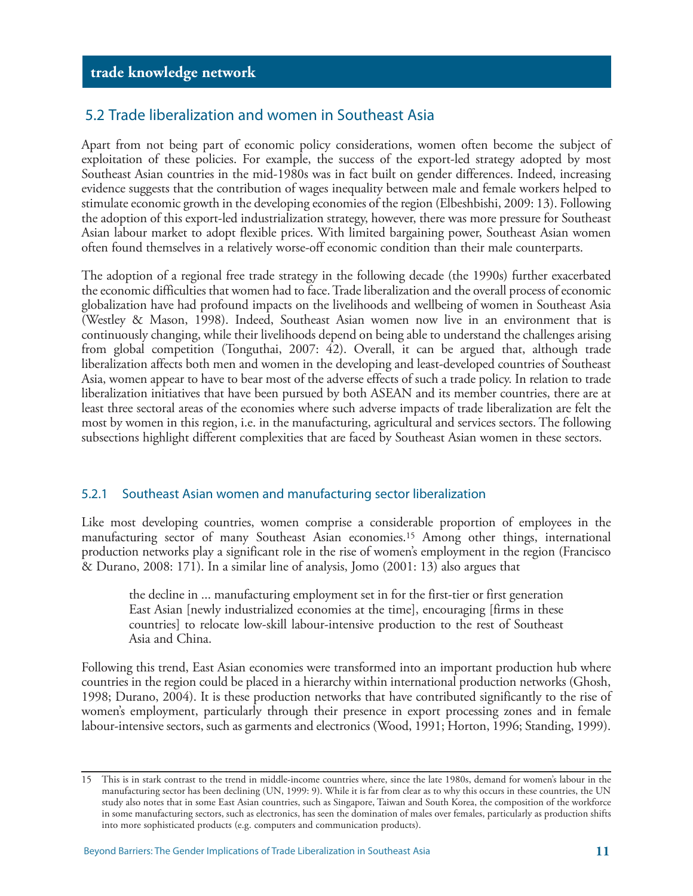#### 5.2 Trade liberalization and women in Southeast Asia

Apart from not being part of economic policy considerations, women often become the subject of exploitation of these policies. For example, the success of the export-led strategy adopted by most Southeast Asian countries in the mid-1980s was in fact built on gender differences. Indeed, increasing evidence suggests that the contribution of wages inequality between male and female workers helped to stimulate economic growth in the developing economies of the region (Elbeshbishi, 2009: 13). Following the adoption of this export-led industrialization strategy, however, there was more pressure for Southeast Asian labour market to adopt flexible prices. With limited bargaining power, Southeast Asian women often found themselves in a relatively worse-off economic condition than their male counterparts.

The adoption of a regional free trade strategy in the following decade (the 1990s) further exacerbated the economic difficulties that women had to face. Trade liberalization and the overall process of economic globalization have had profound impacts on the livelihoods and wellbeing of women in Southeast Asia (Westley & Mason, 1998). Indeed, Southeast Asian women now live in an environment that is continuously changing, while their livelihoods depend on being able to understand the challenges arising from global competition (Tonguthai, 2007: 42). Overall, it can be argued that, although trade liberalization affects both men and women in the developing and least-developed countries of Southeast Asia, women appear to have to bear most of the adverse effects of such a trade policy. In relation to trade liberalization initiatives that have been pursued by both ASEAN and its member countries, there are at least three sectoral areas of the economies where such adverse impacts of trade liberalization are felt the most by women in this region, i.e. in the manufacturing, agricultural and services sectors. The following subsections highlight different complexities that are faced by Southeast Asian women in these sectors.

#### 5.2.1 Southeast Asian women and manufacturing sector liberalization

Like most developing countries, women comprise a considerable proportion of employees in the manufacturing sector of many Southeast Asian economies.15 Among other things, international production networks play a significant role in the rise of women's employment in the region (Francisco & Durano, 2008: 171). In a similar line of analysis, Jomo (2001: 13) also argues that

the decline in ... manufacturing employment set in for the first-tier or first generation East Asian [newly industrialized economies at the time], encouraging [firms in these countries] to relocate low-skill labour-intensive production to the rest of Southeast Asia and China.

Following this trend, East Asian economies were transformed into an important production hub where countries in the region could be placed in a hierarchy within international production networks (Ghosh, 1998; Durano, 2004). It is these production networks that have contributed significantly to the rise of women's employment, particularly through their presence in export processing zones and in female labour-intensive sectors, such as garments and electronics (Wood, 1991; Horton, 1996; Standing, 1999).

<sup>15</sup> This is in stark contrast to the trend in middle-income countries where, since the late 1980s, demand for women's labour in the manufacturing sector has been declining (UN, 1999: 9). While it is far from clear as to why this occurs in these countries, the UN study also notes that in some East Asian countries, such as Singapore, Taiwan and South Korea, the composition of the workforce in some manufacturing sectors, such as electronics, has seen the domination of males over females, particularly as production shifts into more sophisticated products (e.g. computers and communication products).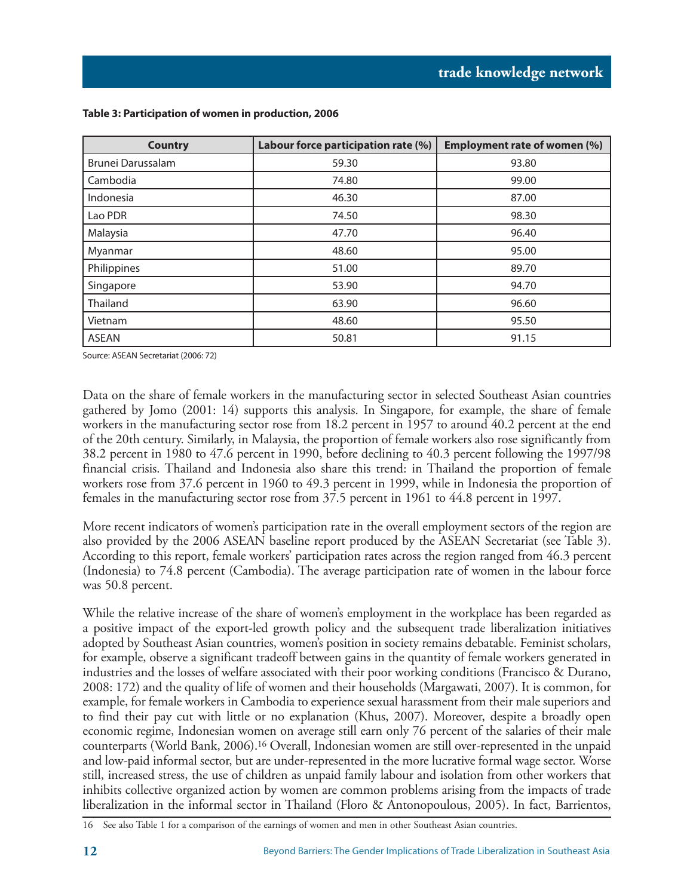| <b>Country</b>    | Labour force participation rate (%) | <b>Employment rate of women (%)</b> |  |  |
|-------------------|-------------------------------------|-------------------------------------|--|--|
| Brunei Darussalam | 59.30                               | 93.80                               |  |  |
| Cambodia          | 74.80                               | 99.00                               |  |  |
| Indonesia         | 46.30                               | 87.00                               |  |  |
| Lao PDR           | 74.50                               | 98.30                               |  |  |
| Malaysia          | 47.70                               | 96.40                               |  |  |
| Myanmar           | 48.60                               | 95.00                               |  |  |
| Philippines       | 51.00                               | 89.70                               |  |  |
| Singapore         | 53.90                               | 94.70                               |  |  |
| Thailand          | 63.90                               | 96.60                               |  |  |
| Vietnam           | 48.60                               | 95.50                               |  |  |
| <b>ASEAN</b>      | 50.81                               | 91.15                               |  |  |

#### **Table 3: Participation of women in production, 2006**

Source: ASEAN Secretariat (2006: 72)

Data on the share of female workers in the manufacturing sector in selected Southeast Asian countries gathered by Jomo (2001: 14) supports this analysis. In Singapore, for example, the share of female workers in the manufacturing sector rose from 18.2 percent in 1957 to around 40.2 percent at the end of the 20th century. Similarly, in Malaysia, the proportion of female workers also rose significantly from 38.2 percent in 1980 to 47.6 percent in 1990, before declining to 40.3 percent following the 1997/98 financial crisis. Thailand and Indonesia also share this trend: in Thailand the proportion of female workers rose from 37.6 percent in 1960 to 49.3 percent in 1999, while in Indonesia the proportion of females in the manufacturing sector rose from 37.5 percent in 1961 to 44.8 percent in 1997.

More recent indicators of women's participation rate in the overall employment sectors of the region are also provided by the 2006 ASEAN baseline report produced by the ASEAN Secretariat (see Table 3). According to this report, female workers' participation rates across the region ranged from 46.3 percent (Indonesia) to 74.8 percent (Cambodia). The average participation rate of women in the labour force was 50.8 percent.

While the relative increase of the share of women's employment in the workplace has been regarded as a positive impact of the export-led growth policy and the subsequent trade liberalization initiatives adopted by Southeast Asian countries, women's position in society remains debatable. Feminist scholars, for example, observe a significant tradeoff between gains in the quantity of female workers generated in industries and the losses of welfare associated with their poor working conditions (Francisco & Durano, 2008: 172) and the quality of life of women and their households (Margawati, 2007). It is common, for example, for female workers in Cambodia to experience sexual harassment from their male superiors and to find their pay cut with little or no explanation (Khus, 2007). Moreover, despite a broadly open economic regime, Indonesian women on average still earn only 76 percent of the salaries of their male counterparts (World Bank, 2006).16 Overall, Indonesian women are still over-represented in the unpaid and low-paid informal sector, but are under-represented in the more lucrative formal wage sector. Worse still, increased stress, the use of children as unpaid family labour and isolation from other workers that inhibits collective organized action by women are common problems arising from the impacts of trade liberalization in the informal sector in Thailand (Floro & Antonopoulous, 2005). In fact, Barrientos,

<sup>16</sup> See also Table 1 for a comparison of the earnings of women and men in other Southeast Asian countries.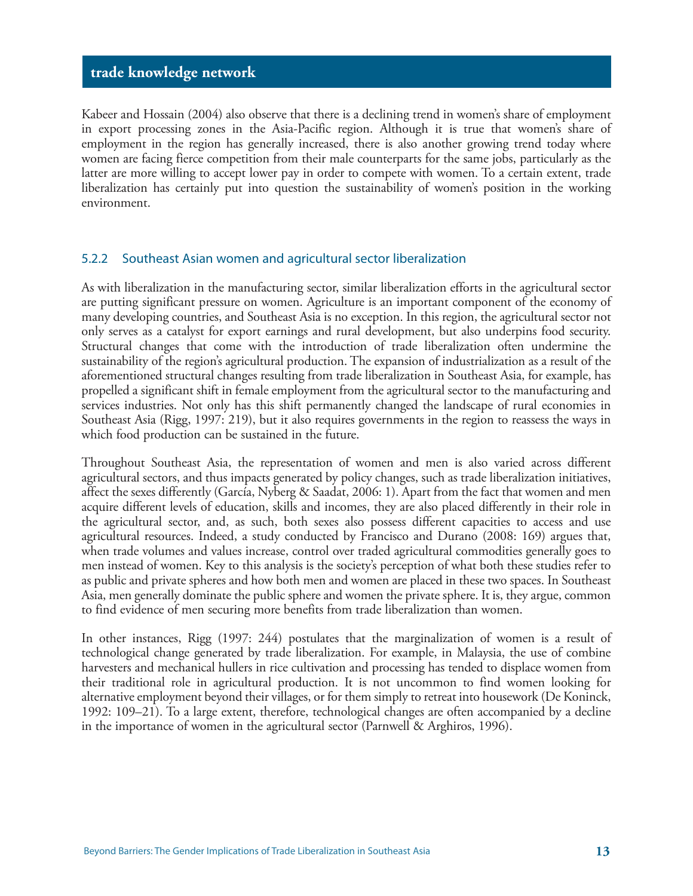Kabeer and Hossain (2004) also observe that there is a declining trend in women's share of employment in export processing zones in the Asia-Pacific region. Although it is true that women's share of employment in the region has generally increased, there is also another growing trend today where women are facing fierce competition from their male counterparts for the same jobs, particularly as the latter are more willing to accept lower pay in order to compete with women. To a certain extent, trade liberalization has certainly put into question the sustainability of women's position in the working environment.

#### 5.2.2 Southeast Asian women and agricultural sector liberalization

As with liberalization in the manufacturing sector, similar liberalization efforts in the agricultural sector are putting significant pressure on women. Agriculture is an important component of the economy of many developing countries, and Southeast Asia is no exception. In this region, the agricultural sector not only serves as a catalyst for export earnings and rural development, but also underpins food security. Structural changes that come with the introduction of trade liberalization often undermine the sustainability of the region's agricultural production. The expansion of industrialization as a result of the aforementioned structural changes resulting from trade liberalization in Southeast Asia, for example, has propelled a significant shift in female employment from the agricultural sector to the manufacturing and services industries. Not only has this shift permanently changed the landscape of rural economies in Southeast Asia (Rigg, 1997: 219), but it also requires governments in the region to reassess the ways in which food production can be sustained in the future.

Throughout Southeast Asia, the representation of women and men is also varied across different agricultural sectors, and thus impacts generated by policy changes, such as trade liberalization initiatives, affect the sexes differently (García, Nyberg & Saadat, 2006: 1). Apart from the fact that women and men acquire different levels of education, skills and incomes, they are also placed differently in their role in the agricultural sector, and, as such, both sexes also possess different capacities to access and use agricultural resources. Indeed, a study conducted by Francisco and Durano (2008: 169) argues that, when trade volumes and values increase, control over traded agricultural commodities generally goes to men instead of women. Key to this analysis is the society's perception of what both these studies refer to as public and private spheres and how both men and women are placed in these two spaces. In Southeast Asia, men generally dominate the public sphere and women the private sphere. It is, they argue, common to find evidence of men securing more benefits from trade liberalization than women.

In other instances, Rigg (1997: 244) postulates that the marginalization of women is a result of technological change generated by trade liberalization. For example, in Malaysia, the use of combine harvesters and mechanical hullers in rice cultivation and processing has tended to displace women from their traditional role in agricultural production. It is not uncommon to find women looking for alternative employment beyond their villages, or for them simply to retreat into housework (De Koninck, 1992: 109–21). To a large extent, therefore, technological changes are often accompanied by a decline in the importance of women in the agricultural sector (Parnwell & Arghiros, 1996).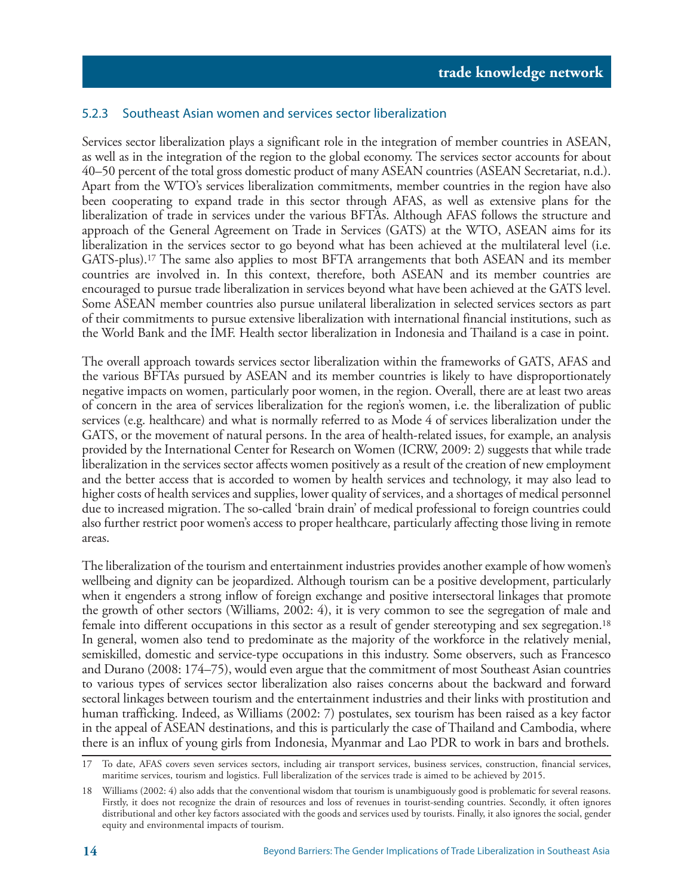#### 5.2.3 Southeast Asian women and services sector liberalization

Services sector liberalization plays a significant role in the integration of member countries in ASEAN, as well as in the integration of the region to the global economy. The services sector accounts for about 40–50 percent of the total gross domestic product of many ASEAN countries (ASEAN Secretariat, n.d.). Apart from the WTO's services liberalization commitments, member countries in the region have also been cooperating to expand trade in this sector through AFAS, as well as extensive plans for the liberalization of trade in services under the various BFTAs. Although AFAS follows the structure and approach of the General Agreement on Trade in Services (GATS) at the WTO, ASEAN aims for its liberalization in the services sector to go beyond what has been achieved at the multilateral level (i.e. GATS-plus).17 The same also applies to most BFTA arrangements that both ASEAN and its member countries are involved in. In this context, therefore, both ASEAN and its member countries are encouraged to pursue trade liberalization in services beyond what have been achieved at the GATS level. Some ASEAN member countries also pursue unilateral liberalization in selected services sectors as part of their commitments to pursue extensive liberalization with international financial institutions, such as the World Bank and the IMF. Health sector liberalization in Indonesia and Thailand is a case in point.

The overall approach towards services sector liberalization within the frameworks of GATS, AFAS and the various BFTAs pursued by ASEAN and its member countries is likely to have disproportionately negative impacts on women, particularly poor women, in the region. Overall, there are at least two areas of concern in the area of services liberalization for the region's women, i.e. the liberalization of public services (e.g. healthcare) and what is normally referred to as Mode 4 of services liberalization under the GATS, or the movement of natural persons. In the area of health-related issues, for example, an analysis provided by the International Center for Research on Women (ICRW, 2009: 2) suggests that while trade liberalization in the services sector affects women positively as a result of the creation of new employment and the better access that is accorded to women by health services and technology, it may also lead to higher costs of health services and supplies, lower quality of services, and a shortages of medical personnel due to increased migration. The so-called 'brain drain' of medical professional to foreign countries could also further restrict poor women's access to proper healthcare, particularly affecting those living in remote areas.

The liberalization of the tourism and entertainment industries provides another example of how women's wellbeing and dignity can be jeopardized. Although tourism can be a positive development, particularly when it engenders a strong inflow of foreign exchange and positive intersectoral linkages that promote the growth of other sectors (Williams, 2002: 4), it is very common to see the segregation of male and female into different occupations in this sector as a result of gender stereotyping and sex segregation.18 In general, women also tend to predominate as the majority of the workforce in the relatively menial, semiskilled, domestic and service-type occupations in this industry. Some observers, such as Francesco and Durano (2008: 174–75), would even argue that the commitment of most Southeast Asian countries to various types of services sector liberalization also raises concerns about the backward and forward sectoral linkages between tourism and the entertainment industries and their links with prostitution and human trafficking. Indeed, as Williams (2002: 7) postulates, sex tourism has been raised as a key factor in the appeal of ASEAN destinations, and this is particularly the case of Thailand and Cambodia, where there is an influx of young girls from Indonesia, Myanmar and Lao PDR to work in bars and brothels.

<sup>17</sup> To date, AFAS covers seven services sectors, including air transport services, business services, construction, financial services, maritime services, tourism and logistics. Full liberalization of the services trade is aimed to be achieved by 2015.

<sup>18</sup> Williams (2002: 4) also adds that the conventional wisdom that tourism is unambiguously good is problematic for several reasons. Firstly, it does not recognize the drain of resources and loss of revenues in tourist-sending countries. Secondly, it often ignores distributional and other key factors associated with the goods and services used by tourists. Finally, it also ignores the social, gender equity and environmental impacts of tourism.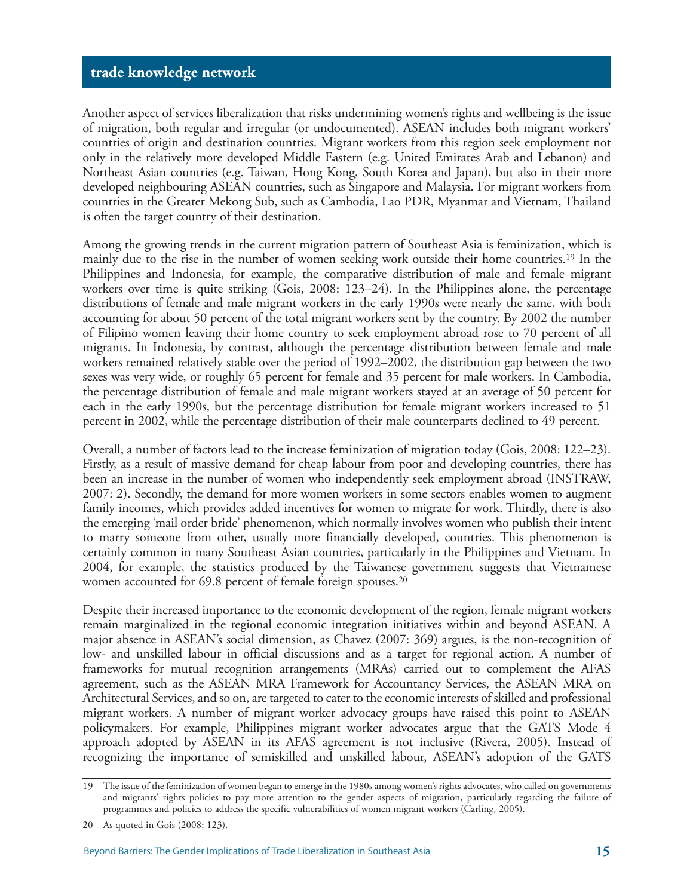Another aspect of services liberalization that risks undermining women's rights and wellbeing is the issue of migration, both regular and irregular (or undocumented). ASEAN includes both migrant workers' countries of origin and destination countries. Migrant workers from this region seek employment not only in the relatively more developed Middle Eastern (e.g. United Emirates Arab and Lebanon) and Northeast Asian countries (e.g. Taiwan, Hong Kong, South Korea and Japan), but also in their more developed neighbouring ASEAN countries, such as Singapore and Malaysia. For migrant workers from countries in the Greater Mekong Sub, such as Cambodia, Lao PDR, Myanmar and Vietnam, Thailand is often the target country of their destination.

Among the growing trends in the current migration pattern of Southeast Asia is feminization, which is mainly due to the rise in the number of women seeking work outside their home countries.19 In the Philippines and Indonesia, for example, the comparative distribution of male and female migrant workers over time is quite striking (Gois, 2008: 123–24). In the Philippines alone, the percentage distributions of female and male migrant workers in the early 1990s were nearly the same, with both accounting for about 50 percent of the total migrant workers sent by the country. By 2002 the number of Filipino women leaving their home country to seek employment abroad rose to 70 percent of all migrants. In Indonesia, by contrast, although the percentage distribution between female and male workers remained relatively stable over the period of 1992–2002, the distribution gap between the two sexes was very wide, or roughly 65 percent for female and 35 percent for male workers. In Cambodia, the percentage distribution of female and male migrant workers stayed at an average of 50 percent for each in the early 1990s, but the percentage distribution for female migrant workers increased to 51 percent in 2002, while the percentage distribution of their male counterparts declined to 49 percent.

Overall, a number of factors lead to the increase feminization of migration today (Gois, 2008: 122–23). Firstly, as a result of massive demand for cheap labour from poor and developing countries, there has been an increase in the number of women who independently seek employment abroad (INSTRAW, 2007: 2). Secondly, the demand for more women workers in some sectors enables women to augment family incomes, which provides added incentives for women to migrate for work. Thirdly, there is also the emerging 'mail order bride' phenomenon, which normally involves women who publish their intent to marry someone from other, usually more financially developed, countries. This phenomenon is certainly common in many Southeast Asian countries, particularly in the Philippines and Vietnam. In 2004, for example, the statistics produced by the Taiwanese government suggests that Vietnamese women accounted for 69.8 percent of female foreign spouses.<sup>20</sup>

Despite their increased importance to the economic development of the region, female migrant workers remain marginalized in the regional economic integration initiatives within and beyond ASEAN. A major absence in ASEAN's social dimension, as Chavez (2007: 369) argues, is the non-recognition of low- and unskilled labour in official discussions and as a target for regional action. A number of frameworks for mutual recognition arrangements (MRAs) carried out to complement the AFAS agreement, such as the ASEAN MRA Framework for Accountancy Services, the ASEAN MRA on Architectural Services, and so on, are targeted to cater to the economic interests of skilled and professional migrant workers. A number of migrant worker advocacy groups have raised this point to ASEAN policymakers. For example, Philippines migrant worker advocates argue that the GATS Mode 4 approach adopted by ASEAN in its AFAS agreement is not inclusive (Rivera, 2005). Instead of recognizing the importance of semiskilled and unskilled labour, ASEAN's adoption of the GATS

<sup>19</sup> The issue of the feminization of women began to emerge in the 1980s among women's rights advocates, who called on governments and migrants' rights policies to pay more attention to the gender aspects of migration, particularly regarding the failure of programmes and policies to address the specific vulnerabilities of women migrant workers (Carling, 2005).

<sup>20</sup> As quoted in Gois (2008: 123).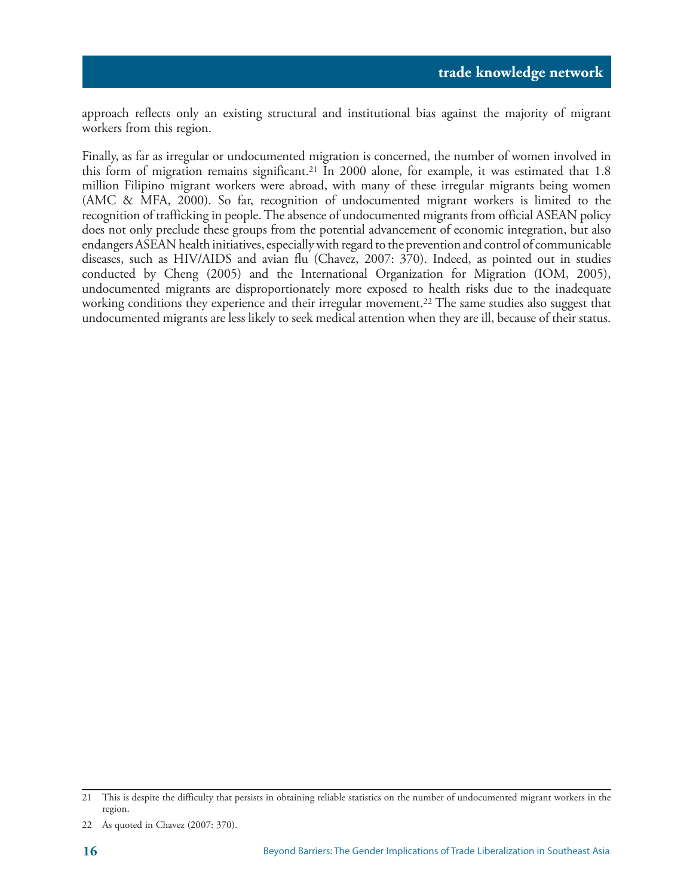approach reflects only an existing structural and institutional bias against the majority of migrant workers from this region.

Finally, as far as irregular or undocumented migration is concerned, the number of women involved in this form of migration remains significant.21 In 2000 alone, for example, it was estimated that 1.8 million Filipino migrant workers were abroad, with many of these irregular migrants being women (AMC & MFA, 2000). So far, recognition of undocumented migrant workers is limited to the recognition of trafficking in people. The absence of undocumented migrants from official ASEAN policy does not only preclude these groups from the potential advancement of economic integration, but also endangers ASEAN health initiatives, especially with regard to the prevention and control of communicable diseases, such as HIV/AIDS and avian flu (Chavez, 2007: 370). Indeed, as pointed out in studies conducted by Cheng (2005) and the International Organization for Migration (IOM, 2005), undocumented migrants are disproportionately more exposed to health risks due to the inadequate working conditions they experience and their irregular movement.22 The same studies also suggest that undocumented migrants are less likely to seek medical attention when they are ill, because of their status.

<sup>21</sup> This is despite the difficulty that persists in obtaining reliable statistics on the number of undocumented migrant workers in the region.

<sup>22</sup> As quoted in Chavez (2007: 370).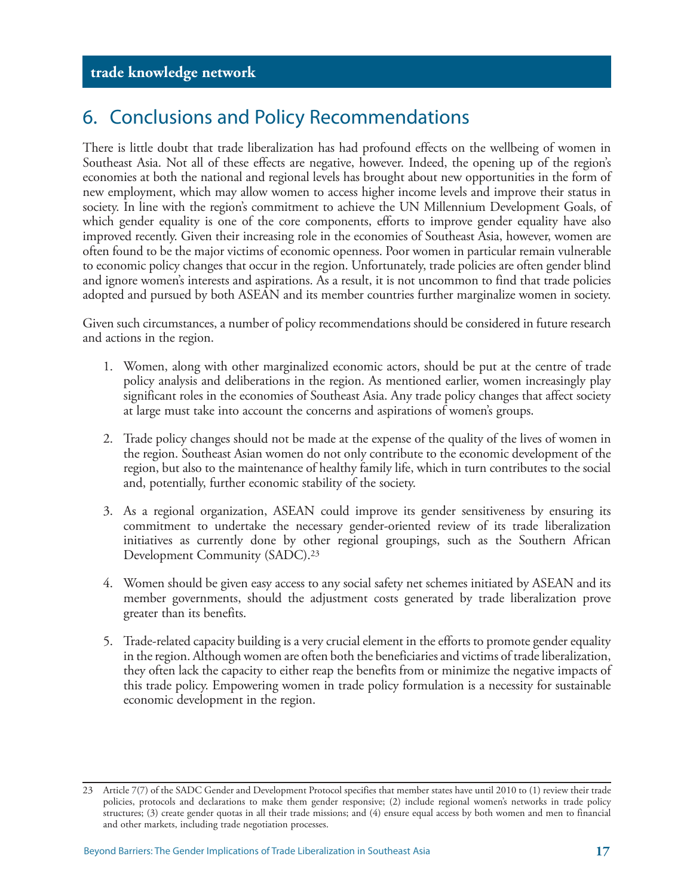### 6. Conclusions and Policy Recommendations

There is little doubt that trade liberalization has had profound effects on the wellbeing of women in Southeast Asia. Not all of these effects are negative, however. Indeed, the opening up of the region's economies at both the national and regional levels has brought about new opportunities in the form of new employment, which may allow women to access higher income levels and improve their status in society. In line with the region's commitment to achieve the UN Millennium Development Goals, of which gender equality is one of the core components, efforts to improve gender equality have also improved recently. Given their increasing role in the economies of Southeast Asia, however, women are often found to be the major victims of economic openness. Poor women in particular remain vulnerable to economic policy changes that occur in the region. Unfortunately, trade policies are often gender blind and ignore women's interests and aspirations. As a result, it is not uncommon to find that trade policies adopted and pursued by both ASEAN and its member countries further marginalize women in society.

Given such circumstances, a number of policy recommendations should be considered in future research and actions in the region.

- 1. Women, along with other marginalized economic actors, should be put at the centre of trade policy analysis and deliberations in the region. As mentioned earlier, women increasingly play significant roles in the economies of Southeast Asia. Any trade policy changes that affect society at large must take into account the concerns and aspirations of women's groups.
- 2. Trade policy changes should not be made at the expense of the quality of the lives of women in the region. Southeast Asian women do not only contribute to the economic development of the region, but also to the maintenance of healthy family life, which in turn contributes to the social and, potentially, further economic stability of the society.
- 3. As a regional organization, ASEAN could improve its gender sensitiveness by ensuring its commitment to undertake the necessary gender-oriented review of its trade liberalization initiatives as currently done by other regional groupings, such as the Southern African Development Community (SADC).23
- 4. Women should be given easy access to any social safety net schemes initiated by ASEAN and its member governments, should the adjustment costs generated by trade liberalization prove greater than its benefits.
- 5. Trade-related capacity building is a very crucial element in the efforts to promote gender equality in the region. Although women are often both the beneficiaries and victims of trade liberalization, they often lack the capacity to either reap the benefits from or minimize the negative impacts of this trade policy. Empowering women in trade policy formulation is a necessity for sustainable economic development in the region.

<sup>23</sup> Article 7(7) of the SADC Gender and Development Protocol specifies that member states have until 2010 to (1) review their trade policies, protocols and declarations to make them gender responsive; (2) include regional women's networks in trade policy structures; (3) create gender quotas in all their trade missions; and (4) ensure equal access by both women and men to financial and other markets, including trade negotiation processes.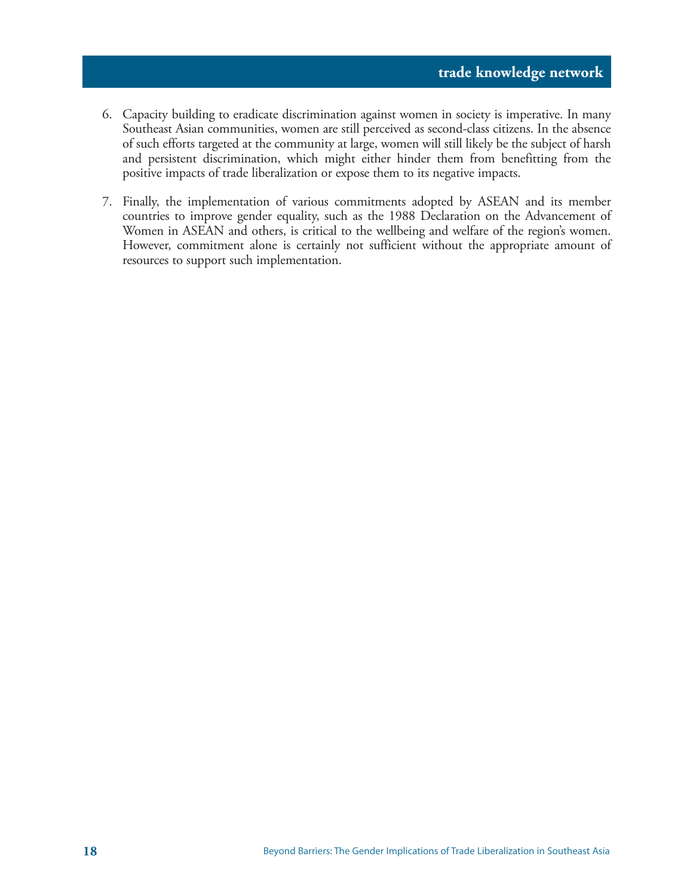- 6. Capacity building to eradicate discrimination against women in society is imperative. In many Southeast Asian communities, women are still perceived as second-class citizens. In the absence of such efforts targeted at the community at large, women will still likely be the subject of harsh and persistent discrimination, which might either hinder them from benefitting from the positive impacts of trade liberalization or expose them to its negative impacts.
- 7. Finally, the implementation of various commitments adopted by ASEAN and its member countries to improve gender equality, such as the 1988 Declaration on the Advancement of Women in ASEAN and others, is critical to the wellbeing and welfare of the region's women. However, commitment alone is certainly not sufficient without the appropriate amount of resources to support such implementation.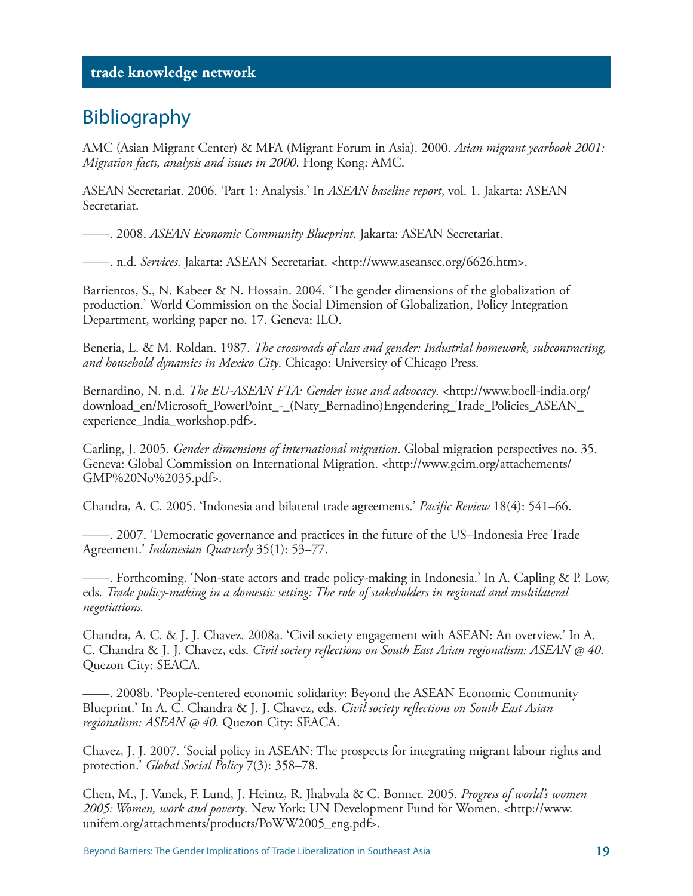### Bibliography

AMC (Asian Migrant Center) & MFA (Migrant Forum in Asia). 2000. *Asian migrant yearbook 2001: Migration facts, analysis and issues in 2000*. Hong Kong: AMC.

ASEAN Secretariat. 2006. 'Part 1: Analysis.' In *ASEAN baseline report*, vol. 1. Jakarta: ASEAN Secretariat.

——. 2008. *ASEAN Economic Community Blueprint*. Jakarta: ASEAN Secretariat.

——. n.d. *Services*. Jakarta: ASEAN Secretariat. <http://www.aseansec.org/6626.htm>.

Barrientos, S., N. Kabeer & N. Hossain. 2004. 'The gender dimensions of the globalization of production.' World Commission on the Social Dimension of Globalization, Policy Integration Department, working paper no. 17. Geneva: ILO.

Beneria, L. & M. Roldan. 1987. *The crossroads of class and gender: Industrial homework, subcontracting, and household dynamics in Mexico City*. Chicago: University of Chicago Press.

Bernardino, N. n.d. *The EU-ASEAN FTA: Gender issue and advocacy*. <http://www.boell-india.org/ download\_en/Microsoft\_PowerPoint\_-\_(Naty\_Bernadino)Engendering\_Trade\_Policies\_ASEAN\_ experience\_India\_workshop.pdf>.

Carling, J. 2005. *Gender dimensions of international migration*. Global migration perspectives no. 35. Geneva: Global Commission on International Migration. <http://www.gcim.org/attachements/ GMP%20No%2035.pdf>.

Chandra, A. C. 2005. 'Indonesia and bilateral trade agreements.' *Pacific Review* 18(4): 541–66.

——. 2007. 'Democratic governance and practices in the future of the US–Indonesia Free Trade Agreement.' *Indonesian Quarterly* 35(1): 53–77.

——. Forthcoming. 'Non-state actors and trade policy-making in Indonesia.' In A. Capling & P. Low, eds. *Trade policy-making in a domestic setting: The role of stakeholders in regional and multilateral negotiations.*

Chandra, A. C. & J. J. Chavez. 2008a. 'Civil society engagement with ASEAN: An overview.' In A. C. Chandra & J. J. Chavez, eds. *Civil society reflections on South East Asian regionalism: ASEAN @ 40*. Quezon City: SEACA.

——. 2008b. 'People-centered economic solidarity: Beyond the ASEAN Economic Community Blueprint.' In A. C. Chandra & J. J. Chavez, eds. *Civil society reflections on South East Asian regionalism: ASEAN @ 40*. Quezon City: SEACA.

Chavez, J. J. 2007. 'Social policy in ASEAN: The prospects for integrating migrant labour rights and protection.' *Global Social Policy* 7(3): 358–78.

Chen, M., J. Vanek, F. Lund, J. Heintz, R. Jhabvala & C. Bonner. 2005. *Progress of world's women 2005: Women, work and poverty*. New York: UN Development Fund for Women. <http://www. unifem.org/attachments/products/PoWW2005\_eng.pdf>.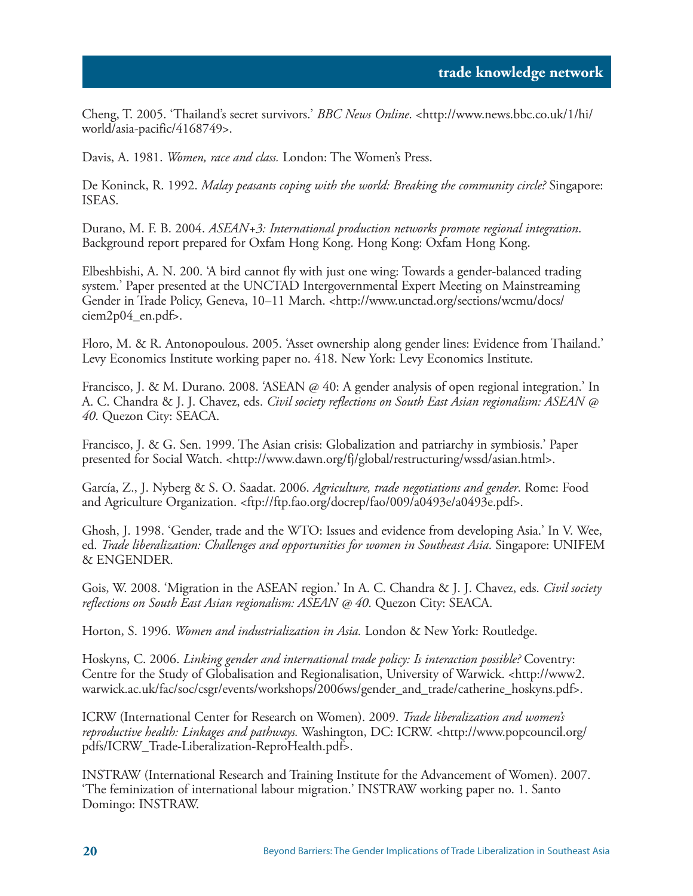Cheng, T. 2005. 'Thailand's secret survivors.' *BBC News Online*. <http://www.news.bbc.co.uk/1/hi/ world/asia-pacific/4168749>.

Davis, A. 1981. *Women, race and class.* London: The Women's Press.

De Koninck, R. 1992. *Malay peasants coping with the world: Breaking the community circle?* Singapore: ISEAS.

Durano, M. F. B. 2004. *ASEAN+3: International production networks promote regional integration*. Background report prepared for Oxfam Hong Kong. Hong Kong: Oxfam Hong Kong.

Elbeshbishi, A. N. 200. 'A bird cannot fly with just one wing: Towards a gender-balanced trading system.' Paper presented at the UNCTAD Intergovernmental Expert Meeting on Mainstreaming Gender in Trade Policy, Geneva, 10–11 March. <http://www.unctad.org/sections/wcmu/docs/ ciem2p04\_en.pdf>.

Floro, M. & R. Antonopoulous. 2005. 'Asset ownership along gender lines: Evidence from Thailand.' Levy Economics Institute working paper no. 418. New York: Levy Economics Institute.

Francisco, J. & M. Durano. 2008. 'ASEAN @ 40: A gender analysis of open regional integration.' In A. C. Chandra & J. J. Chavez, eds. *Civil society reflections on South East Asian regionalism: ASEAN @ 40*. Quezon City: SEACA.

Francisco, J. & G. Sen. 1999. The Asian crisis: Globalization and patriarchy in symbiosis.' Paper presented for Social Watch. <http://www.dawn.org/fj/global/restructuring/wssd/asian.html>.

García, Z., J. Nyberg & S. O. Saadat. 2006. *Agriculture, trade negotiations and gender*. Rome: Food and Agriculture Organization. <ftp://ftp.fao.org/docrep/fao/009/a0493e/a0493e.pdf>.

Ghosh, J. 1998. 'Gender, trade and the WTO: Issues and evidence from developing Asia.' In V. Wee, ed. *Trade liberalization: Challenges and opportunities for women in Southeast Asia*. Singapore: UNIFEM & ENGENDER.

Gois, W. 2008. 'Migration in the ASEAN region.' In A. C. Chandra & J. J. Chavez, eds. *Civil society reflections on South East Asian regionalism: ASEAN @ 40*. Quezon City: SEACA.

Horton, S. 1996. *Women and industrialization in Asia.* London & New York: Routledge.

Hoskyns, C. 2006. *Linking gender and international trade policy: Is interaction possible?* Coventry: Centre for the Study of Globalisation and Regionalisation, University of Warwick. <http://www2. warwick.ac.uk/fac/soc/csgr/events/workshops/2006ws/gender\_and\_trade/catherine\_hoskyns.pdf>.

ICRW (International Center for Research on Women). 2009. *Trade liberalization and women's reproductive health: Linkages and pathways.* Washington, DC: ICRW. <http://www.popcouncil.org/ pdfs/ICRW\_Trade-Liberalization-ReproHealth.pdf>.

INSTRAW (International Research and Training Institute for the Advancement of Women). 2007. 'The feminization of international labour migration.' INSTRAW working paper no. 1. Santo Domingo: INSTRAW.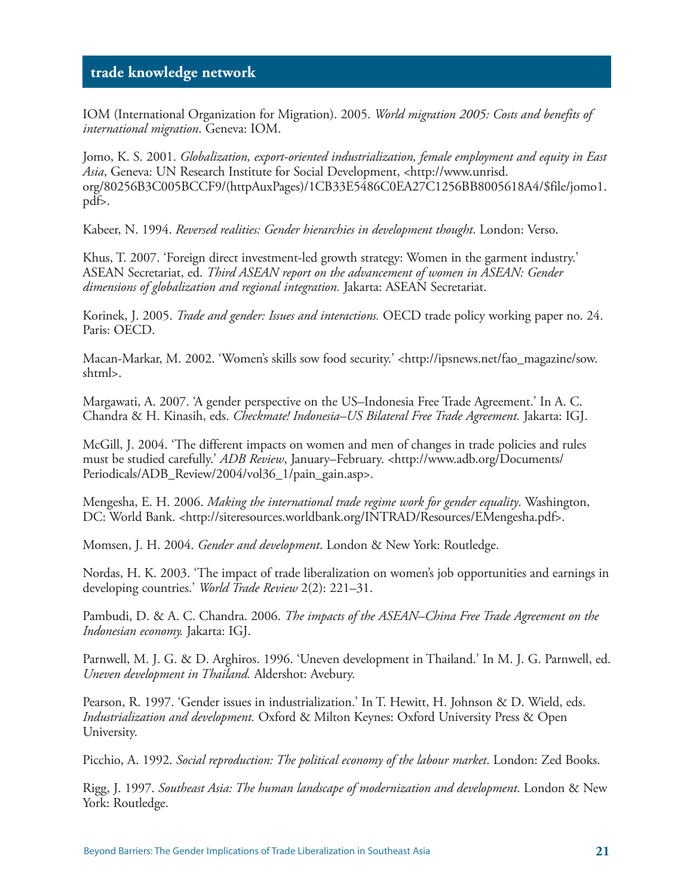IOM (International Organization for Migration). 2005. *World migration 2005: Costs and benefits of international migration*. Geneva: IOM.

Jomo, K. S. 2001. *Globalization, export-oriented industrialization, female employment and equity in East Asia*, Geneva: UN Research Institute for Social Development, <http://www.unrisd. org/80256B3C005BCCF9/(httpAuxPages)/1CB33E5486C0EA27C1256BB8005618A4/\$file/jomo1. pdf>.

Kabeer, N. 1994. *Reversed realities: Gender hierarchies in development thought*. London: Verso.

Khus, T. 2007. 'Foreign direct investment-led growth strategy: Women in the garment industry.' ASEAN Secretariat, ed. *Third ASEAN report on the advancement of women in ASEAN: Gender dimensions of globalization and regional integration.* Jakarta: ASEAN Secretariat.

Korinek, J. 2005. *Trade and gender: Issues and interactions.* OECD trade policy working paper no. 24. Paris: OECD.

Macan-Markar, M. 2002. 'Women's skills sow food security.' <http://ipsnews.net/fao\_magazine/sow. shtml>.

Margawati, A. 2007. 'A gender perspective on the US–Indonesia Free Trade Agreement.' In A. C. Chandra & H. Kinasih, eds. *Checkmate! Indonesia–US Bilateral Free Trade Agreement.* Jakarta: IGJ.

McGill, J. 2004. 'The different impacts on women and men of changes in trade policies and rules must be studied carefully.' *ADB Review*, January–February. <http://www.adb.org/Documents/ Periodicals/ADB\_Review/2004/vol36\_1/pain\_gain.asp>.

Mengesha, E. H. 2006. *Making the international trade regime work for gender equality*. Washington, DC: World Bank. <http://siteresources.worldbank.org/INTRAD/Resources/EMengesha.pdf>.

Momsen, J. H. 2004. *Gender and development*. London & New York: Routledge.

Nordas, H. K. 2003. 'The impact of trade liberalization on women's job opportunities and earnings in developing countries.' *World Trade Review* 2(2): 221–31.

Pambudi, D. & A. C. Chandra. 2006. *The impacts of the ASEAN–China Free Trade Agreement on the Indonesian economy.* Jakarta: IGJ.

Parnwell, M. J. G. & D. Arghiros. 1996. 'Uneven development in Thailand.' In M. J. G. Parnwell, ed. *Uneven development in Thailand.* Aldershot: Avebury.

Pearson, R. 1997. 'Gender issues in industrialization.' In T. Hewitt, H. Johnson & D. Wield, eds. *Industrialization and development.* Oxford & Milton Keynes: Oxford University Press & Open University.

Picchio, A. 1992. *Social reproduction: The political economy of the labour market*. London: Zed Books.

Rigg, J. 1997. *Southeast Asia: The human landscape of modernization and development*. London & New York: Routledge.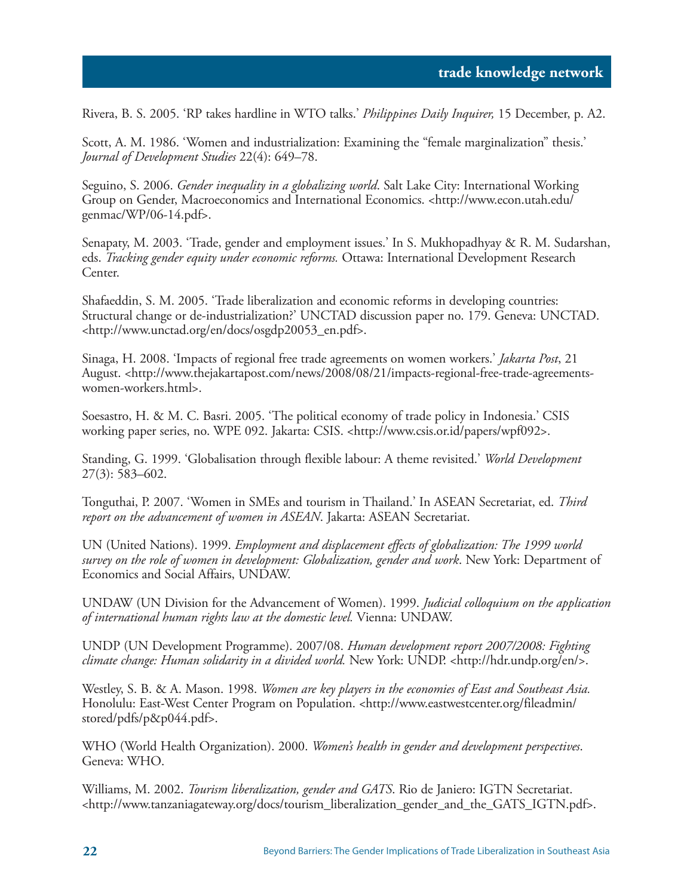Rivera, B. S. 2005. 'RP takes hardline in WTO talks.' *Philippines Daily Inquirer,* 15 December, p. A2.

Scott, A. M. 1986. 'Women and industrialization: Examining the "female marginalization" thesis.' *Journal of Development Studies* 22(4): 649–78.

Seguino, S. 2006. *Gender inequality in a globalizing world*. Salt Lake City: International Working Group on Gender, Macroeconomics and International Economics. <http://www.econ.utah.edu/ genmac/WP/06-14.pdf>.

Senapaty, M. 2003. 'Trade, gender and employment issues.' In S. Mukhopadhyay & R. M. Sudarshan, eds. *Tracking gender equity under economic reforms.* Ottawa: International Development Research Center.

Shafaeddin, S. M. 2005. 'Trade liberalization and economic reforms in developing countries: Structural change or de-industrialization?' UNCTAD discussion paper no. 179. Geneva: UNCTAD. <http://www.unctad.org/en/docs/osgdp20053\_en.pdf>.

Sinaga, H. 2008. 'Impacts of regional free trade agreements on women workers.' *Jakarta Post*, 21 August. <http://www.thejakartapost.com/news/2008/08/21/impacts-regional-free-trade-agreementswomen-workers.html>.

Soesastro, H. & M. C. Basri. 2005. 'The political economy of trade policy in Indonesia.' CSIS working paper series, no. WPE 092. Jakarta: CSIS. <http://www.csis.or.id/papers/wpf092>.

Standing, G. 1999. 'Globalisation through flexible labour: A theme revisited.' *World Development* 27(3): 583–602.

Tonguthai, P. 2007. 'Women in SMEs and tourism in Thailand.' In ASEAN Secretariat, ed. *Third report on the advancement of women in ASEAN*. Jakarta: ASEAN Secretariat.

UN (United Nations). 1999. *Employment and displacement effects of globalization: The 1999 world survey on the role of women in development: Globalization, gender and work*. New York: Department of Economics and Social Affairs, UNDAW.

UNDAW (UN Division for the Advancement of Women). 1999. *Judicial colloquium on the application of international human rights law at the domestic level.* Vienna: UNDAW.

UNDP (UN Development Programme). 2007/08. *Human development report 2007/2008: Fighting climate change: Human solidarity in a divided world.* New York: UNDP. <http://hdr.undp.org/en/>.

Westley, S. B. & A. Mason. 1998. *Women are key players in the economies of East and Southeast Asia.* Honolulu: East-West Center Program on Population. <http://www.eastwestcenter.org/fileadmin/ stored/pdfs/p&p044.pdf>.

WHO (World Health Organization). 2000. *Women's health in gender and development perspectives*. Geneva: WHO.

Williams, M. 2002. *Tourism liberalization, gender and GATS*. Rio de Janiero: IGTN Secretariat. <http://www.tanzaniagateway.org/docs/tourism\_liberalization\_gender\_and\_the\_GATS\_IGTN.pdf>.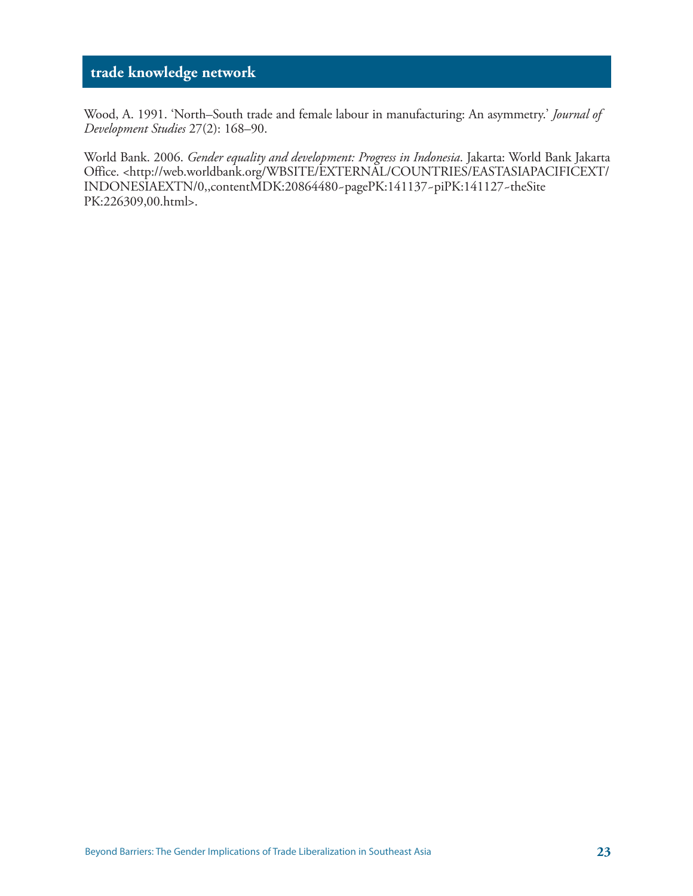Wood, A. 1991. 'North–South trade and female labour in manufacturing: An asymmetry.' *Journal of Development Studies* 27(2): 168–90.

World Bank. 2006. *Gender equality and development: Progress in Indonesia*. Jakarta: World Bank Jakarta Office. <http://web.worldbank.org/WBSITE/EXTERNAL/COUNTRIES/EASTASIAPACIFICEXT/ INDONESIAEXTN/0,,contentMDK:20864480~pagePK:141137~piPK:141127~theSite PK:226309,00.html>.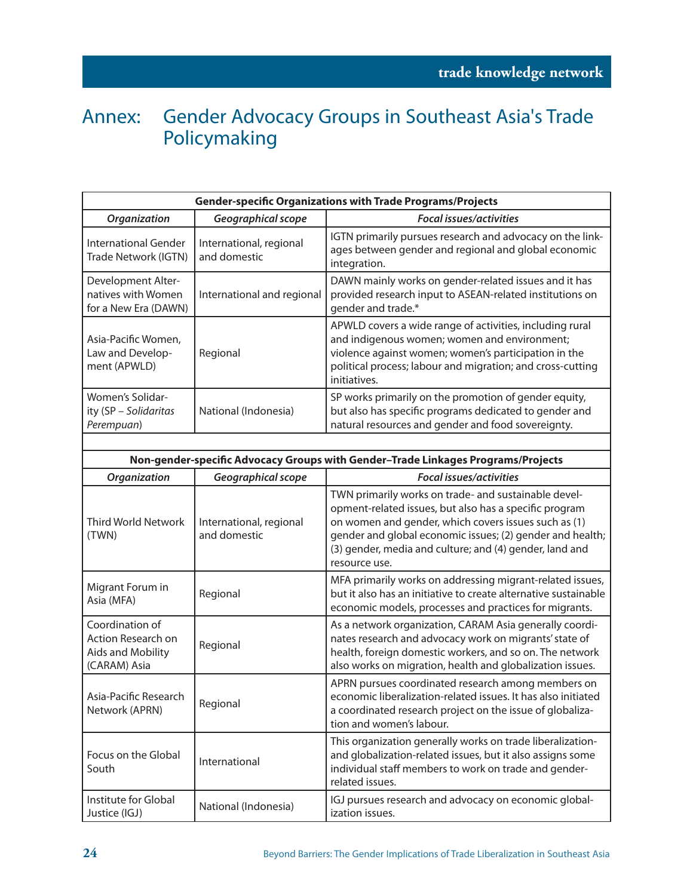## Annex: Gender Advocacy Groups in Southeast Asia's Trade Policymaking

| <b>Gender-specific Organizations with Trade Programs/Projects</b>          |                                         |                                                                                                                                                                                                                                                                                                                 |  |  |
|----------------------------------------------------------------------------|-----------------------------------------|-----------------------------------------------------------------------------------------------------------------------------------------------------------------------------------------------------------------------------------------------------------------------------------------------------------------|--|--|
| Organization                                                               | Geographical scope                      | <b>Focal issues/activities</b>                                                                                                                                                                                                                                                                                  |  |  |
| <b>International Gender</b><br>Trade Network (IGTN)                        | International, regional<br>and domestic | IGTN primarily pursues research and advocacy on the link-<br>ages between gender and regional and global economic<br>integration.                                                                                                                                                                               |  |  |
| Development Alter-<br>natives with Women<br>for a New Era (DAWN)           | International and regional              | DAWN mainly works on gender-related issues and it has<br>provided research input to ASEAN-related institutions on<br>gender and trade.*                                                                                                                                                                         |  |  |
| Asia-Pacific Women,<br>Law and Develop-<br>ment (APWLD)                    | Regional                                | APWLD covers a wide range of activities, including rural<br>and indigenous women; women and environment;<br>violence against women; women's participation in the<br>political process; labour and migration; and cross-cutting<br>initiatives.                                                                  |  |  |
| Women's Solidar-<br>ity (SP - Solidaritas<br>Perempuan)                    | National (Indonesia)                    | SP works primarily on the promotion of gender equity,<br>but also has specific programs dedicated to gender and<br>natural resources and gender and food sovereignty.                                                                                                                                           |  |  |
|                                                                            |                                         |                                                                                                                                                                                                                                                                                                                 |  |  |
|                                                                            |                                         | Non-gender-specific Advocacy Groups with Gender-Trade Linkages Programs/Projects                                                                                                                                                                                                                                |  |  |
| Organization                                                               | Geographical scope                      | <b>Focal issues/activities</b>                                                                                                                                                                                                                                                                                  |  |  |
| <b>Third World Network</b><br>(TWN)                                        | International, regional<br>and domestic | TWN primarily works on trade- and sustainable devel-<br>opment-related issues, but also has a specific program<br>on women and gender, which covers issues such as (1)<br>gender and global economic issues; (2) gender and health;<br>(3) gender, media and culture; and (4) gender, land and<br>resource use. |  |  |
| Migrant Forum in<br>Asia (MFA)                                             | Regional                                | MFA primarily works on addressing migrant-related issues,<br>but it also has an initiative to create alternative sustainable<br>economic models, processes and practices for migrants.                                                                                                                          |  |  |
| Coordination of<br>Action Research on<br>Aids and Mobility<br>(CARAM) Asia | Regional                                | As a network organization, CARAM Asia generally coordi-<br>nates research and advocacy work on migrants' state of<br>health, foreign domestic workers, and so on. The network<br>also works on migration, health and globalization issues.                                                                      |  |  |
| Asia-Pacific Research<br>Network (APRN)                                    | Regional                                | APRN pursues coordinated research among members on<br>economic liberalization-related issues. It has also initiated<br>a coordinated research project on the issue of globaliza-<br>tion and women's labour.                                                                                                    |  |  |
| Focus on the Global<br>South                                               | International                           | This organization generally works on trade liberalization-<br>and globalization-related issues, but it also assigns some<br>individual staff members to work on trade and gender-<br>related issues.                                                                                                            |  |  |
| Institute for Global<br>Justice (IGJ)                                      | National (Indonesia)                    | IGJ pursues research and advocacy on economic global-<br>ization issues.                                                                                                                                                                                                                                        |  |  |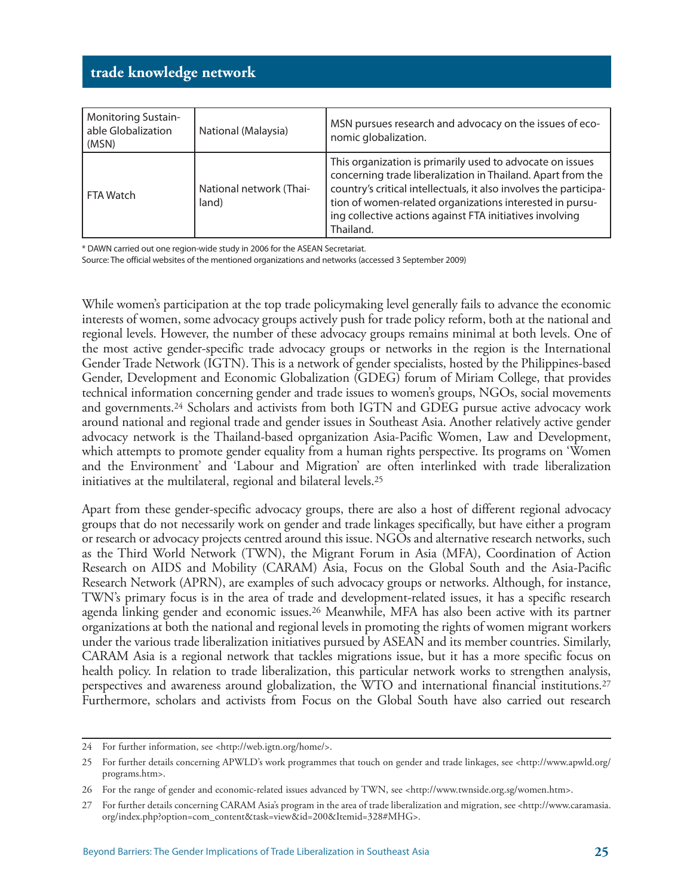| <b>Monitoring Sustain-</b><br>able Globalization<br>(MSN) | National (Malaysia)              | MSN pursues research and advocacy on the issues of eco-<br>nomic globalization.                                                                                                                                                                                                                                                    |
|-----------------------------------------------------------|----------------------------------|------------------------------------------------------------------------------------------------------------------------------------------------------------------------------------------------------------------------------------------------------------------------------------------------------------------------------------|
| FTA Watch                                                 | National network (Thai-<br>land) | This organization is primarily used to advocate on issues<br>concerning trade liberalization in Thailand. Apart from the<br>country's critical intellectuals, it also involves the participa-<br>tion of women-related organizations interested in pursu-<br>ing collective actions against FTA initiatives involving<br>Thailand. |

\* DAWN carried out one region-wide study in 2006 for the ASEAN Secretariat.

Source: The official websites of the mentioned organizations and networks (accessed 3 September 2009)

While women's participation at the top trade policymaking level generally fails to advance the economic interests of women, some advocacy groups actively push for trade policy reform, both at the national and regional levels. However, the number of these advocacy groups remains minimal at both levels. One of the most active gender-specific trade advocacy groups or networks in the region is the International Gender Trade Network (IGTN). This is a network of gender specialists, hosted by the Philippines-based Gender, Development and Economic Globalization (GDEG) forum of Miriam College, that provides technical information concerning gender and trade issues to women's groups, NGOs, social movements and governments.24 Scholars and activists from both IGTN and GDEG pursue active advocacy work around national and regional trade and gender issues in Southeast Asia. Another relatively active gender advocacy network is the Thailand-based oprganization Asia-Pacific Women, Law and Development, which attempts to promote gender equality from a human rights perspective. Its programs on 'Women and the Environment' and 'Labour and Migration' are often interlinked with trade liberalization initiatives at the multilateral, regional and bilateral levels.25

Apart from these gender-specific advocacy groups, there are also a host of different regional advocacy groups that do not necessarily work on gender and trade linkages specifically, but have either a program or research or advocacy projects centred around this issue. NGOs and alternative research networks, such as the Third World Network (TWN), the Migrant Forum in Asia (MFA), Coordination of Action Research on AIDS and Mobility (CARAM) Asia, Focus on the Global South and the Asia-Pacific Research Network (APRN), are examples of such advocacy groups or networks. Although, for instance, TWN's primary focus is in the area of trade and development-related issues, it has a specific research agenda linking gender and economic issues.26 Meanwhile, MFA has also been active with its partner organizations at both the national and regional levels in promoting the rights of women migrant workers under the various trade liberalization initiatives pursued by ASEAN and its member countries. Similarly, CARAM Asia is a regional network that tackles migrations issue, but it has a more specific focus on health policy. In relation to trade liberalization, this particular network works to strengthen analysis, perspectives and awareness around globalization, the WTO and international financial institutions.27 Furthermore, scholars and activists from Focus on the Global South have also carried out research

<sup>24</sup> For further information, see <http://web.igtn.org/home/>.

<sup>25</sup> For further details concerning APWLD's work programmes that touch on gender and trade linkages, see <http://www.apwld.org/ programs.htm>.

<sup>26</sup> For the range of gender and economic-related issues advanced by TWN, see <http://www.twnside.org.sg/women.htm>.

<sup>27</sup> For further details concerning CARAM Asia's program in the area of trade liberalization and migration, see <http://www.caramasia. org/index.php?option=com\_content&task=view&id=200&Itemid=328#MHG>.